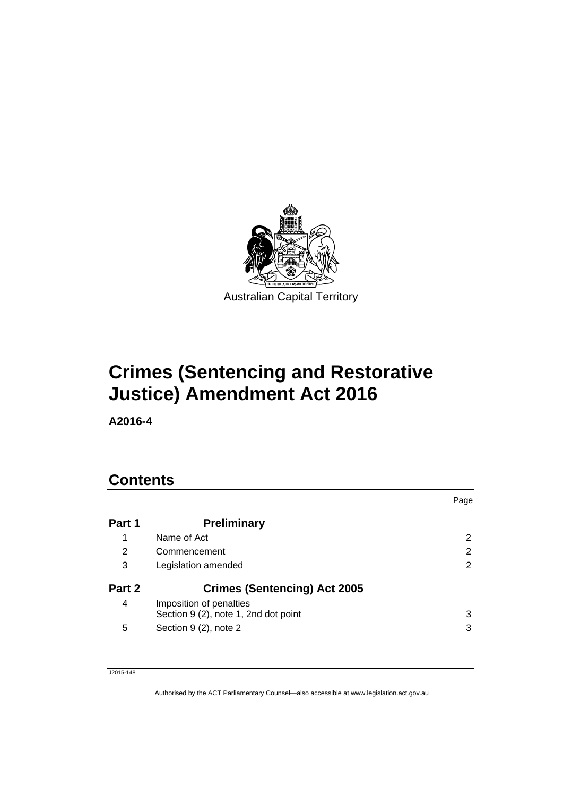

# **Crimes (Sentencing and Restorative Justice) Amendment Act 2016**

**A2016-4** 

# **Contents**

|        |                                                                 | Page |
|--------|-----------------------------------------------------------------|------|
| Part 1 | <b>Preliminary</b>                                              |      |
| 1      | Name of Act                                                     | 2    |
| 2      | Commencement                                                    | 2    |
| 3      | Legislation amended                                             | 2    |
| Part 2 | <b>Crimes (Sentencing) Act 2005</b>                             |      |
| 4      | Imposition of penalties<br>Section 9 (2), note 1, 2nd dot point | 3    |
| 5      | Section 9 (2), note 2                                           | 3    |

J2015-148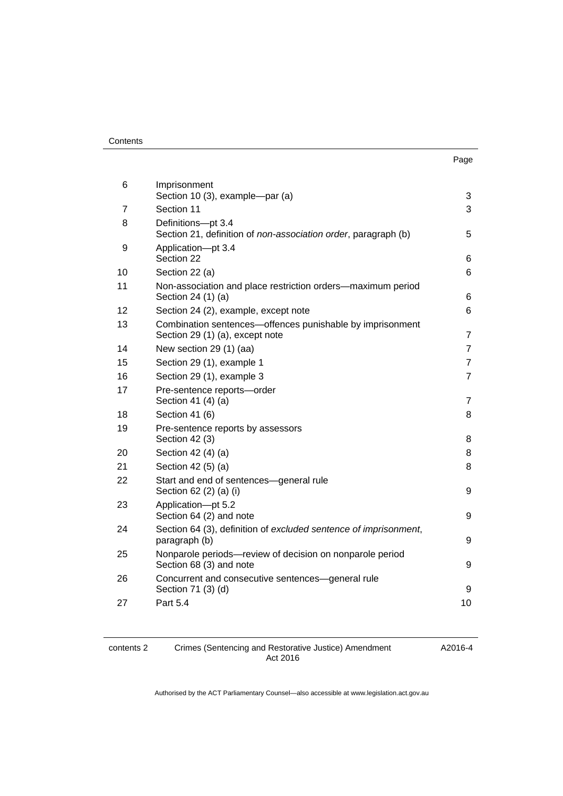| ×<br>× | I |
|--------|---|

| 6  | Imprisonment<br>Section 10 (3), example-par (a)                                              | 3              |
|----|----------------------------------------------------------------------------------------------|----------------|
| 7  | Section 11                                                                                   | 3              |
| 8  | Definitions-pt 3.4<br>Section 21, definition of non-association order, paragraph (b)         | 5              |
| 9  | Application-pt 3.4<br>Section 22                                                             | 6              |
| 10 | Section 22 (a)                                                                               | 6              |
| 11 | Non-association and place restriction orders-maximum period<br>Section 24 (1) (a)            | 6              |
| 12 | Section 24 (2), example, except note                                                         | 6              |
| 13 | Combination sentences-offences punishable by imprisonment<br>Section 29 (1) (a), except note | $\overline{7}$ |
| 14 | New section 29 (1) (aa)                                                                      | $\overline{7}$ |
| 15 | Section 29 (1), example 1                                                                    | $\overline{7}$ |
| 16 | Section 29 (1), example 3                                                                    | $\overline{7}$ |
| 17 | Pre-sentence reports-order<br>Section 41 (4) (a)                                             | $\overline{7}$ |
| 18 | Section 41 (6)                                                                               | 8              |
| 19 | Pre-sentence reports by assessors<br>Section 42 (3)                                          | 8              |
| 20 | Section 42 (4) (a)                                                                           | 8              |
| 21 | Section 42 (5) (a)                                                                           | 8              |
| 22 | Start and end of sentences-general rule<br>Section 62 (2) (a) (i)                            | 9              |
| 23 | Application-pt 5.2<br>Section 64 (2) and note                                                | 9              |
| 24 | Section 64 (3), definition of excluded sentence of imprisonment,<br>paragraph (b)            | 9              |
| 25 | Nonparole periods-review of decision on nonparole period<br>Section 68 (3) and note          | 9              |
| 26 | Concurrent and consecutive sentences-general rule<br>Section 71 (3) (d)                      | 9              |
| 27 | <b>Part 5.4</b>                                                                              | 10             |
|    |                                                                                              |                |

#### contents 2 Crimes (Sentencing and Restorative Justice) Amendment Act 2016

A2016-4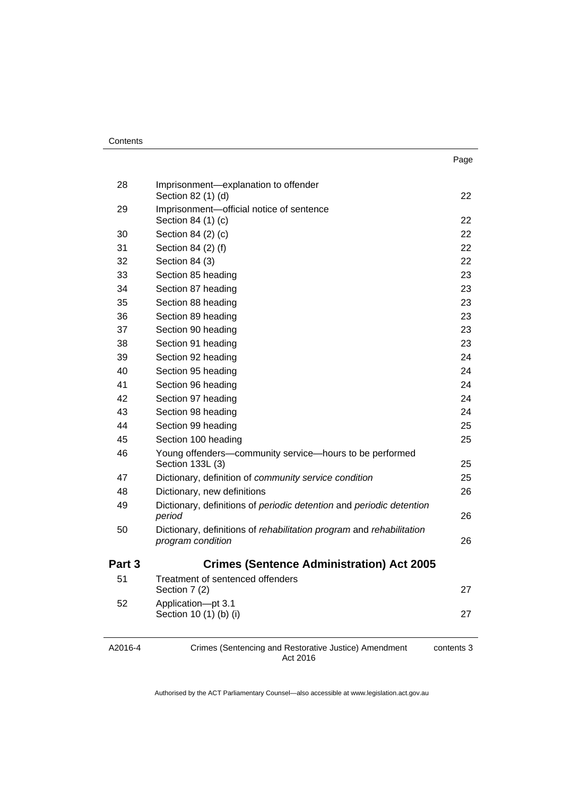| Contents |
|----------|
|----------|

| 28     | Imprisonment-explanation to offender<br>Section 82 (1) (d)                                | 22 |
|--------|-------------------------------------------------------------------------------------------|----|
| 29     | Imprisonment-official notice of sentence<br>Section 84 (1) (c)                            | 22 |
| 30     | Section 84 (2) (c)                                                                        | 22 |
| 31     | Section 84 (2) (f)                                                                        | 22 |
| 32     | Section 84 (3)                                                                            | 22 |
| 33     | Section 85 heading                                                                        | 23 |
| 34     | Section 87 heading                                                                        | 23 |
| 35     | Section 88 heading                                                                        | 23 |
| 36     | Section 89 heading                                                                        | 23 |
| 37     | Section 90 heading                                                                        | 23 |
| 38     | Section 91 heading                                                                        | 23 |
| 39     | Section 92 heading                                                                        | 24 |
| 40     | Section 95 heading                                                                        | 24 |
| 41     | Section 96 heading                                                                        | 24 |
| 42     | Section 97 heading                                                                        | 24 |
| 43     | Section 98 heading                                                                        | 24 |
| 44     | Section 99 heading                                                                        | 25 |
| 45     | Section 100 heading                                                                       | 25 |
| 46     | Young offenders-community service-hours to be performed<br>Section 133L (3)               | 25 |
| 47     | Dictionary, definition of community service condition                                     | 25 |
| 48     | Dictionary, new definitions                                                               | 26 |
| 49     | Dictionary, definitions of periodic detention and periodic detention<br>period            | 26 |
| 50     | Dictionary, definitions of rehabilitation program and rehabilitation<br>program condition | 26 |
| Part 3 | <b>Crimes (Sentence Administration) Act 2005</b>                                          |    |
| 51     | Treatment of sentenced offenders<br>Section 7 (2)                                         | 27 |
| 52     | Application-pt 3.1<br>Section 10 (1) (b) (i)                                              | 27 |
|        |                                                                                           |    |

A2016-4

Crimes (Sentencing and Restorative Justice) Amendment Act 2016

contents 3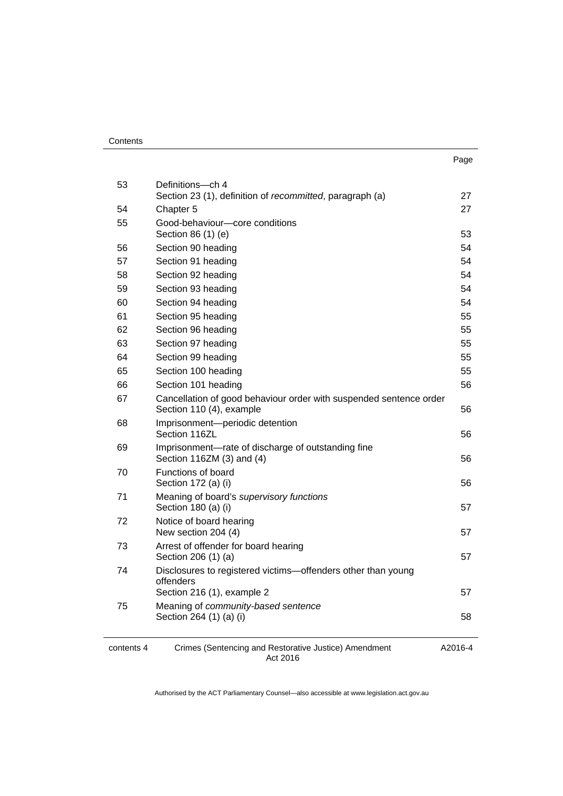| . .<br>×<br>×<br>۰. |
|---------------------|
|---------------------|

| 53         | Definitions-ch 4<br>Section 23 (1), definition of recommitted, paragraph (a)                   | 27      |
|------------|------------------------------------------------------------------------------------------------|---------|
| 54         | Chapter 5                                                                                      | 27      |
| 55         | Good-behaviour-core conditions<br>Section 86 (1) (e)                                           | 53      |
| 56         | Section 90 heading                                                                             | 54      |
| 57         | Section 91 heading                                                                             | 54      |
| 58         | Section 92 heading                                                                             | 54      |
| 59         | Section 93 heading                                                                             | 54      |
| 60         | Section 94 heading                                                                             | 54      |
| 61         | Section 95 heading                                                                             | 55      |
| 62         | Section 96 heading                                                                             | 55      |
| 63         | Section 97 heading                                                                             | 55      |
| 64         | Section 99 heading                                                                             | 55      |
| 65         | Section 100 heading                                                                            | 55      |
| 66         | Section 101 heading                                                                            | 56      |
| 67         | Cancellation of good behaviour order with suspended sentence order<br>Section 110 (4), example | 56      |
| 68         | Imprisonment-periodic detention<br>Section 116ZL                                               | 56      |
| 69         | Imprisonment-rate of discharge of outstanding fine<br>Section 116ZM (3) and (4)                | 56      |
| 70         | Functions of board<br>Section 172 (a) (i)                                                      | 56      |
| 71         | Meaning of board's supervisory functions<br>Section 180 (a) (i)                                | 57      |
| 72         | Notice of board hearing<br>New section 204 (4)                                                 | 57      |
| 73         | Arrest of offender for board hearing<br>Section 206 (1) (a)                                    | 57      |
| 74         | Disclosures to registered victims-offenders other than young<br>offenders                      |         |
|            | Section 216 (1), example 2                                                                     | 57      |
| 75         | Meaning of community-based sentence<br>Section 264 (1) (a) (i)                                 | 58      |
| contents 4 | Crimes (Sentencing and Restorative Justice) Amendment<br>Act 2016                              | A2016-4 |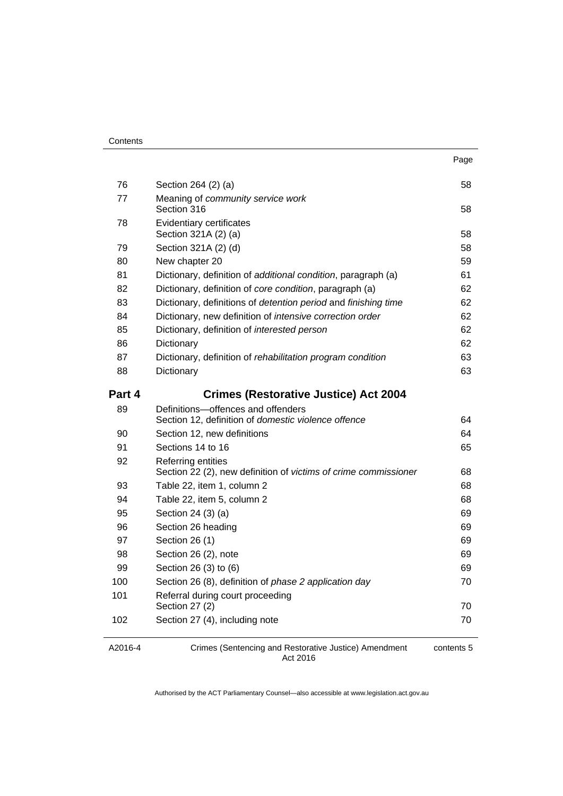|        |                                                                                       | Page |
|--------|---------------------------------------------------------------------------------------|------|
| 76     | Section 264 (2) (a)                                                                   | 58   |
| 77     | Meaning of community service work<br>Section 316                                      | 58   |
| 78     | <b>Evidentiary certificates</b><br>Section 321A (2) (a)                               | 58   |
| 79     | Section 321A (2) (d)                                                                  | 58   |
| 80     | New chapter 20                                                                        | 59   |
| 81     | Dictionary, definition of additional condition, paragraph (a)                         | 61   |
| 82     | Dictionary, definition of core condition, paragraph (a)                               | 62   |
| 83     | Dictionary, definitions of <i>detention period</i> and <i>finishing time</i>          | 62   |
| 84     | Dictionary, new definition of intensive correction order                              | 62   |
| 85     | Dictionary, definition of interested person                                           | 62   |
| 86     | Dictionary                                                                            | 62   |
| 87     | Dictionary, definition of rehabilitation program condition                            | 63   |
| 88     | Dictionary                                                                            | 63   |
| Part 4 | <b>Crimes (Restorative Justice) Act 2004</b>                                          |      |
| 89     | Definitions-offences and offenders                                                    |      |
|        | Section 12, definition of domestic violence offence                                   | 64   |
| 90     | Section 12, new definitions                                                           | 64   |
| 91     | Sections 14 to 16                                                                     | 65   |
| 92     | Referring entities<br>Section 22 (2), new definition of victims of crime commissioner | 68   |
| 93     | Table 22, item 1, column 2                                                            | 68   |
| 94     | Table 22, item 5, column 2                                                            | 68   |
| 95     | Section 24 (3) (a)                                                                    | 69   |
| 96     | Section 26 heading                                                                    | 69   |
| 97     | Section 26 (1)                                                                        | 69   |
| 98     | Section 26 (2), note                                                                  | 69   |
| 99     | Section 26 (3) to (6)                                                                 | 69   |
| 100    | Section 26 (8), definition of phase 2 application day                                 | 70   |
| 101    | Referral during court proceeding<br>Section 27 (2)                                    | 70   |
| 102    | Section 27 (4), including note                                                        | 70   |
|        |                                                                                       |      |

A2016-4

Crimes (Sentencing and Restorative Justice) Amendment Act 2016

contents 5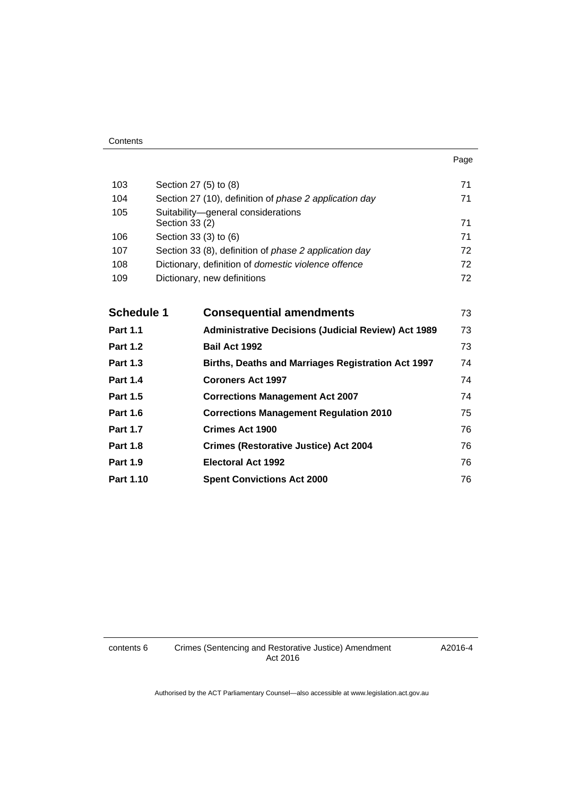| Contents |
|----------|
|----------|

| 103               | Section 27 (5) to (8) |                                                              | 71 |
|-------------------|-----------------------|--------------------------------------------------------------|----|
| 104               |                       | Section 27 (10), definition of phase 2 application day       | 71 |
| 105               | Section 33 (2)        | Suitability-general considerations                           | 71 |
| 106               | Section 33 (3) to (6) |                                                              | 71 |
| 107               |                       | Section 33 (8), definition of <i>phase 2 application day</i> | 72 |
| 108               |                       | Dictionary, definition of domestic violence offence          | 72 |
| 109               |                       | Dictionary, new definitions                                  | 72 |
|                   |                       |                                                              |    |
| <b>Schedule 1</b> |                       | <b>Consequential amendments</b>                              | 73 |
| <b>Part 1.1</b>   |                       | <b>Administrative Decisions (Judicial Review) Act 1989</b>   | 73 |
| <b>Part 1.2</b>   |                       | Bail Act 1992                                                | 73 |
| <b>Part 1.3</b>   |                       | Births, Deaths and Marriages Registration Act 1997           | 74 |
| <b>Part 1.4</b>   |                       | <b>Coroners Act 1997</b>                                     | 74 |
| <b>Part 1.5</b>   |                       | <b>Corrections Management Act 2007</b>                       | 74 |
| <b>Part 1.6</b>   |                       | <b>Corrections Management Regulation 2010</b>                | 75 |
| <b>Part 1.7</b>   |                       | <b>Crimes Act 1900</b>                                       | 76 |
| <b>Part 1.8</b>   |                       | <b>Crimes (Restorative Justice) Act 2004</b>                 | 76 |
| <b>Part 1.9</b>   |                       | <b>Electoral Act 1992</b>                                    | 76 |
| Part 1.10         |                       | <b>Spent Convictions Act 2000</b>                            | 76 |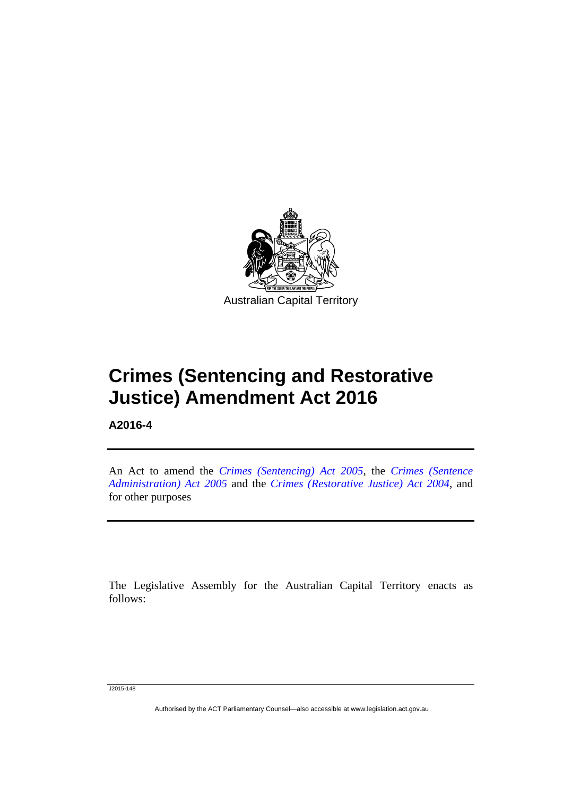

# **Crimes (Sentencing and Restorative Justice) Amendment Act 2016**

**A2016-4** 

Ī

An Act to amend the *[Crimes \(Sentencing\) Act 2005](http://www.legislation.act.gov.au/a/2005-58)*, the *[Crimes \(Sentence](http://www.legislation.act.gov.au/a/2005-59)  [Administration\) Act 2005](http://www.legislation.act.gov.au/a/2005-59)* and the *[Crimes \(Restorative Justice\) Act 2004](http://www.legislation.act.gov.au/a/2004-65)*, and for other purposes

The Legislative Assembly for the Australian Capital Territory enacts as follows:

J2015-148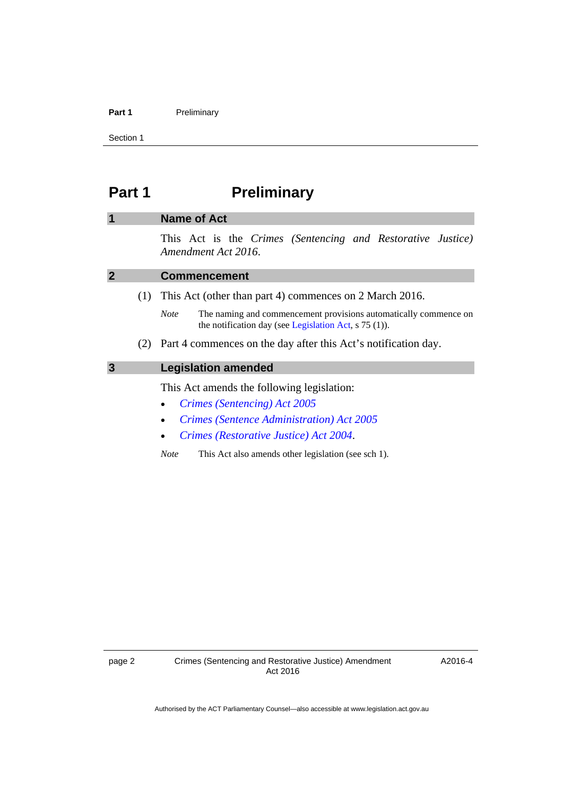### Part 1 **Preliminary**

Section 1

# <span id="page-7-0"></span>**Part 1** Preliminary

### <span id="page-7-1"></span>**1 Name of Act**

This Act is the *Crimes (Sentencing and Restorative Justice) Amendment Act 2016*.

<span id="page-7-3"></span><span id="page-7-2"></span>

|   |     | <b>Commencement</b>                                                                                                                             |  |
|---|-----|-------------------------------------------------------------------------------------------------------------------------------------------------|--|
|   | (1) | This Act (other than part 4) commences on 2 March 2016.                                                                                         |  |
|   |     | The naming and commencement provisions automatically commence on<br><b>Note</b><br>the notification day (see Legislation Act, $\sigma$ 75 (1)). |  |
|   | (2) | Part 4 commences on the day after this Act's notification day.                                                                                  |  |
| 3 |     | <b>Legislation amended</b>                                                                                                                      |  |
|   |     | This Act amends the following legislation:                                                                                                      |  |
|   |     | Crimes (Sentencing) Act 2005<br>$\bullet$                                                                                                       |  |
|   |     | <b>Crimes (Sentence Administration) Act 2005</b><br>$\bullet$                                                                                   |  |
|   |     | Crimes (Restorative Justice) Act 2004.                                                                                                          |  |

*Note* This Act also amends other legislation (see sch 1).

A2016-4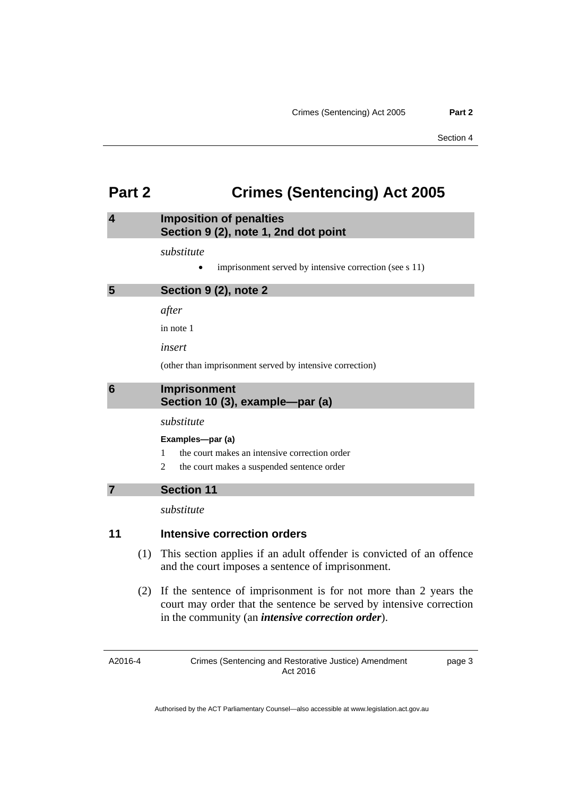## <span id="page-8-0"></span>**Part 2 Crimes (Sentencing) Act 2005**

### <span id="page-8-1"></span>**4 Imposition of penalties Section 9 (2), note 1, 2nd dot point**

### *substitute*

• imprisonment served by intensive correction (see s 11)

### <span id="page-8-2"></span>**5 Section 9 (2), note 2**

*after* 

in note 1

*insert* 

(other than imprisonment served by intensive correction)

### <span id="page-8-3"></span>**6 Imprisonment Section 10 (3), example—par (a)**

### *substitute*

### **Examples—par (a)**

- 1 the court makes an intensive correction order
- 2 the court makes a suspended sentence order

### <span id="page-8-4"></span>**7 Section 11**

*substitute* 

### **11 Intensive correction orders**

- (1) This section applies if an adult offender is convicted of an offence and the court imposes a sentence of imprisonment.
- (2) If the sentence of imprisonment is for not more than 2 years the court may order that the sentence be served by intensive correction in the community (an *intensive correction order*).

A2016-4

page 3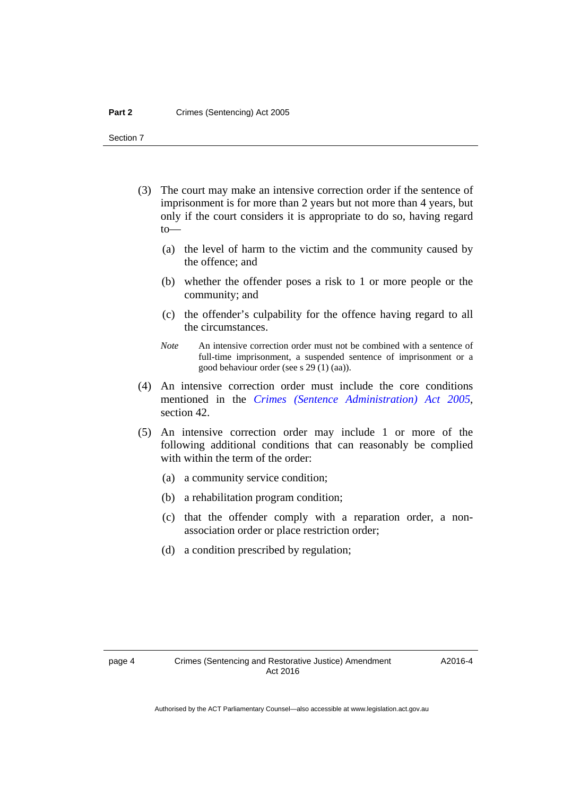- (3) The court may make an intensive correction order if the sentence of imprisonment is for more than 2 years but not more than 4 years, but only if the court considers it is appropriate to do so, having regard to—
	- (a) the level of harm to the victim and the community caused by the offence; and
	- (b) whether the offender poses a risk to 1 or more people or the community; and
	- (c) the offender's culpability for the offence having regard to all the circumstances.
	- *Note* An intensive correction order must not be combined with a sentence of full-time imprisonment, a suspended sentence of imprisonment or a good behaviour order (see s 29 (1) (aa)).
- (4) An intensive correction order must include the core conditions mentioned in the *[Crimes \(Sentence Administration\) Act 2005](http://www.legislation.act.gov.au/a/2005-59)*, section 42.
- (5) An intensive correction order may include 1 or more of the following additional conditions that can reasonably be complied with within the term of the order:
	- (a) a community service condition;
	- (b) a rehabilitation program condition;
	- (c) that the offender comply with a reparation order, a nonassociation order or place restriction order;
	- (d) a condition prescribed by regulation;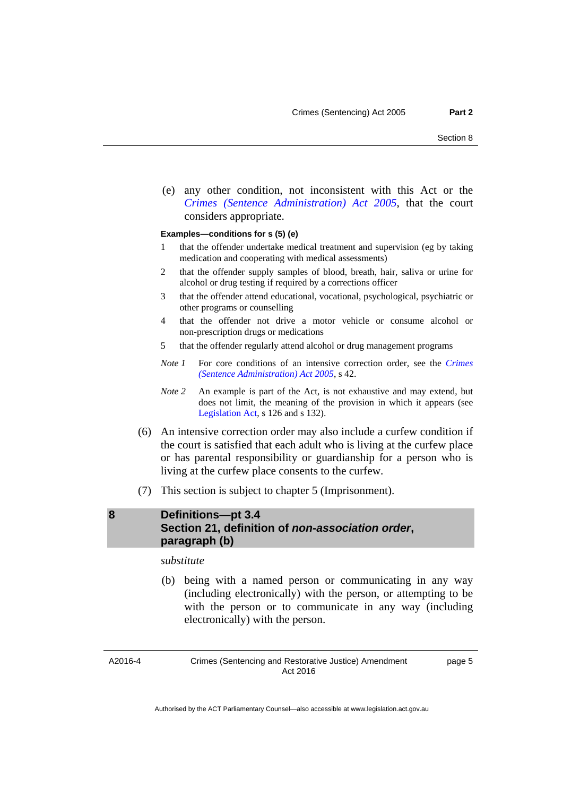(e) any other condition, not inconsistent with this Act or the *[Crimes \(Sentence Administration\) Act 2005](http://www.legislation.act.gov.au/a/2005-59)*, that the court considers appropriate.

### **Examples—conditions for s (5) (e)**

- 1 that the offender undertake medical treatment and supervision (eg by taking medication and cooperating with medical assessments)
- 2 that the offender supply samples of blood, breath, hair, saliva or urine for alcohol or drug testing if required by a corrections officer
- 3 that the offender attend educational, vocational, psychological, psychiatric or other programs or counselling
- 4 that the offender not drive a motor vehicle or consume alcohol or non-prescription drugs or medications
- 5 that the offender regularly attend alcohol or drug management programs
- *Note 1* For core conditions of an intensive correction order, see the *[Crimes](http://www.legislation.act.gov.au/a/2005-59)  [\(Sentence Administration\) Act 2005](http://www.legislation.act.gov.au/a/2005-59)*, s 42.
- *Note 2* An example is part of the Act, is not exhaustive and may extend, but does not limit, the meaning of the provision in which it appears (see [Legislation Act,](http://www.legislation.act.gov.au/a/2001-14) s 126 and s 132).
- (6) An intensive correction order may also include a curfew condition if the court is satisfied that each adult who is living at the curfew place or has parental responsibility or guardianship for a person who is living at the curfew place consents to the curfew.
- (7) This section is subject to chapter 5 (Imprisonment).

### <span id="page-10-0"></span>**8 Definitions—pt 3.4 Section 21, definition of** *non-association order***, paragraph (b)**

*substitute* 

 (b) being with a named person or communicating in any way (including electronically) with the person, or attempting to be with the person or to communicate in any way (including electronically) with the person.

A2016-4

Crimes (Sentencing and Restorative Justice) Amendment Act 2016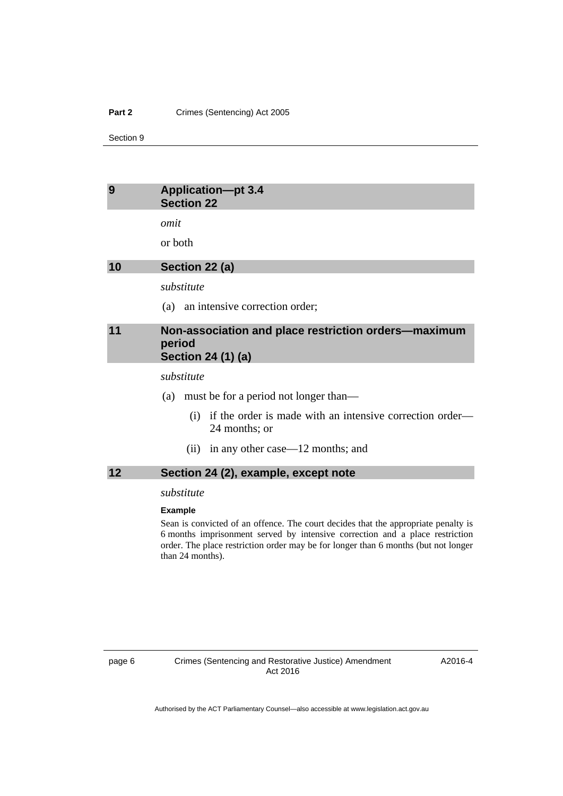### **Part 2 Crimes (Sentencing) Act 2005**

Section 9

### <span id="page-11-0"></span>**9 Application—pt 3.4 Section 22**

*omit* 

or both

<span id="page-11-1"></span>**10 Section 22 (a)** 

*substitute* 

(a) an intensive correction order;

### <span id="page-11-2"></span>**11 Non-association and place restriction orders—maximum period Section 24 (1) (a)**

*substitute* 

(a) must be for a period not longer than—

- (i) if the order is made with an intensive correction order— 24 months; or
- (ii) in any other case—12 months; and

### <span id="page-11-3"></span>**12 Section 24 (2), example, except note**

### *substitute*

#### **Example**

Sean is convicted of an offence. The court decides that the appropriate penalty is 6 months imprisonment served by intensive correction and a place restriction order. The place restriction order may be for longer than 6 months (but not longer than 24 months).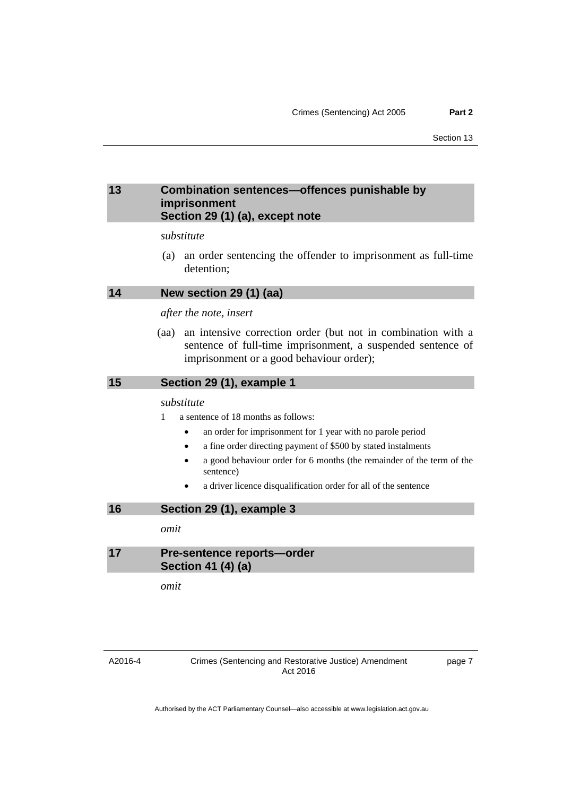### <span id="page-12-0"></span>**13 Combination sentences—offences punishable by imprisonment Section 29 (1) (a), except note**

### *substitute*

 (a) an order sentencing the offender to imprisonment as full-time detention;

<span id="page-12-1"></span>

| New section 29 (1) (aa)<br>14 |  |  |  |  |
|-------------------------------|--|--|--|--|
|-------------------------------|--|--|--|--|

### *after the note, insert*

 (aa) an intensive correction order (but not in combination with a sentence of full-time imprisonment, a suspended sentence of imprisonment or a good behaviour order);

### <span id="page-12-2"></span>**15 Section 29 (1), example 1**

### *substitute*

1 a sentence of 18 months as follows:

- an order for imprisonment for 1 year with no parole period
- a fine order directing payment of \$500 by stated instalments
- a good behaviour order for 6 months (the remainder of the term of the sentence)
- a driver licence disqualification order for all of the sentence

### <span id="page-12-3"></span>**16 Section 29 (1), example 3**

*omit* 

### <span id="page-12-4"></span>**17 Pre-sentence reports—order Section 41 (4) (a)**

*omit*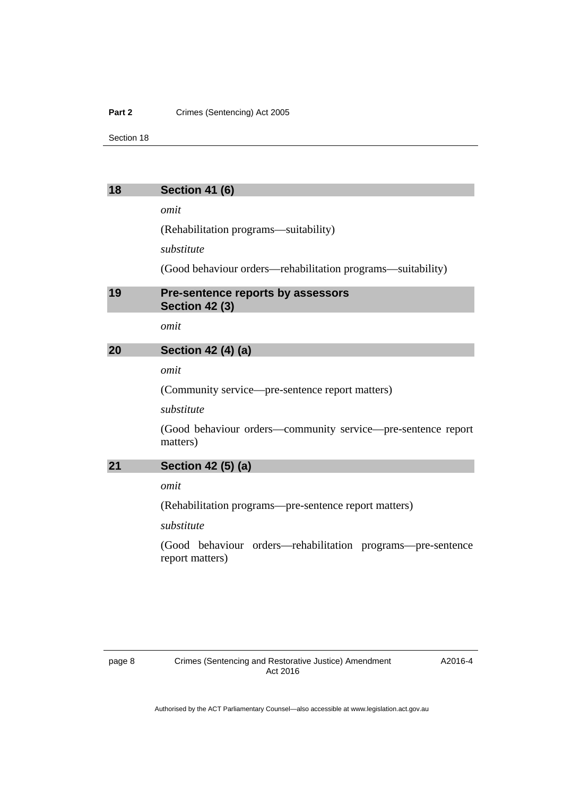### **Part 2 Crimes (Sentencing) Act 2005**

Section 18

### <span id="page-13-0"></span>**18 Section 41 (6)**

*omit* 

(Rehabilitation programs—suitability)

*substitute* 

(Good behaviour orders—rehabilitation programs—suitability)

### <span id="page-13-1"></span>**19 Pre-sentence reports by assessors Section 42 (3)**

*omit* 

### <span id="page-13-2"></span>**20 Section 42 (4) (a)**

*omit* 

(Community service—pre-sentence report matters)

### *substitute*

(Good behaviour orders—community service—pre-sentence report matters)

### <span id="page-13-3"></span>**21 Section 42 (5) (a)**

*omit* 

(Rehabilitation programs—pre-sentence report matters)

*substitute* 

(Good behaviour orders—rehabilitation programs—pre-sentence report matters)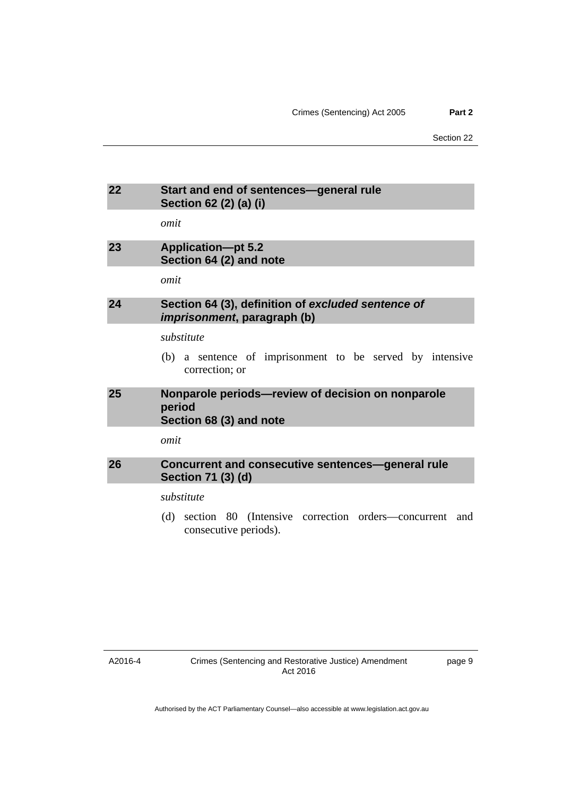<span id="page-14-3"></span><span id="page-14-2"></span><span id="page-14-1"></span><span id="page-14-0"></span>

| 22         | Start and end of sentences-general rule<br>Section 62 (2) (a) (i)                         |  |  |
|------------|-------------------------------------------------------------------------------------------|--|--|
|            | omit                                                                                      |  |  |
| 23         | <b>Application-pt 5.2</b><br>Section 64 (2) and note                                      |  |  |
|            | omit                                                                                      |  |  |
| 24         | Section 64 (3), definition of excluded sentence of<br><i>imprisonment</i> , paragraph (b) |  |  |
|            | substitute                                                                                |  |  |
|            | (b) a sentence of imprisonment to be served by intensive<br>correction; or                |  |  |
| 25         | Nonparole periods-review of decision on nonparole<br>period<br>Section 68 (3) and note    |  |  |
|            | omit                                                                                      |  |  |
| 26         | Concurrent and consecutive sentences-general rule<br>Section 71 (3) (d)                   |  |  |
| substitute |                                                                                           |  |  |
|            | section 80 (Intensive correction orders—concurrent and<br>(d)<br>consecutive periods).    |  |  |

<span id="page-14-4"></span>A2016-4

page 9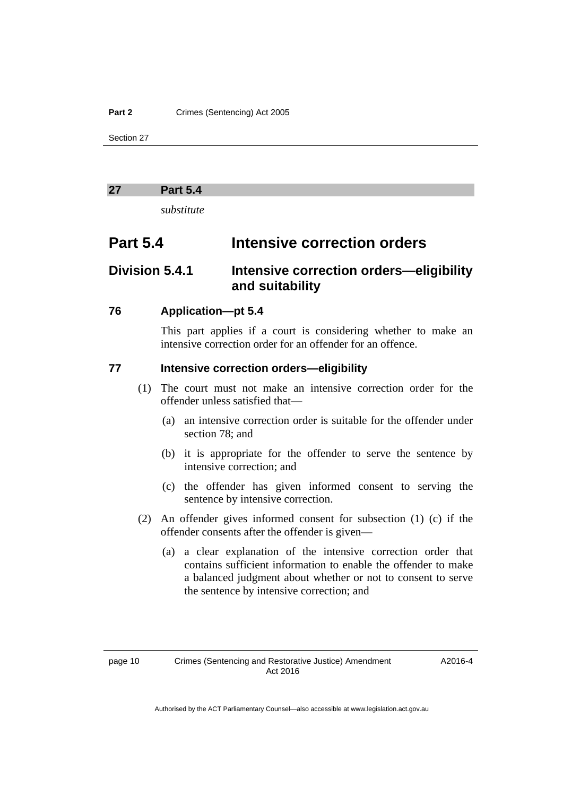### **Part 2 Crimes (Sentencing) Act 2005**

Section 27

### <span id="page-15-0"></span>**27 Part 5.4**

*substitute* 

### **Part 5.4 Intensive correction orders**

## **Division 5.4.1 Intensive correction orders—eligibility and suitability**

### **76 Application—pt 5.4**

This part applies if a court is considering whether to make an intensive correction order for an offender for an offence.

### **77 Intensive correction orders—eligibility**

- (1) The court must not make an intensive correction order for the offender unless satisfied that—
	- (a) an intensive correction order is suitable for the offender under section 78; and
	- (b) it is appropriate for the offender to serve the sentence by intensive correction; and
	- (c) the offender has given informed consent to serving the sentence by intensive correction.
- (2) An offender gives informed consent for subsection (1) (c) if the offender consents after the offender is given—
	- (a) a clear explanation of the intensive correction order that contains sufficient information to enable the offender to make a balanced judgment about whether or not to consent to serve the sentence by intensive correction; and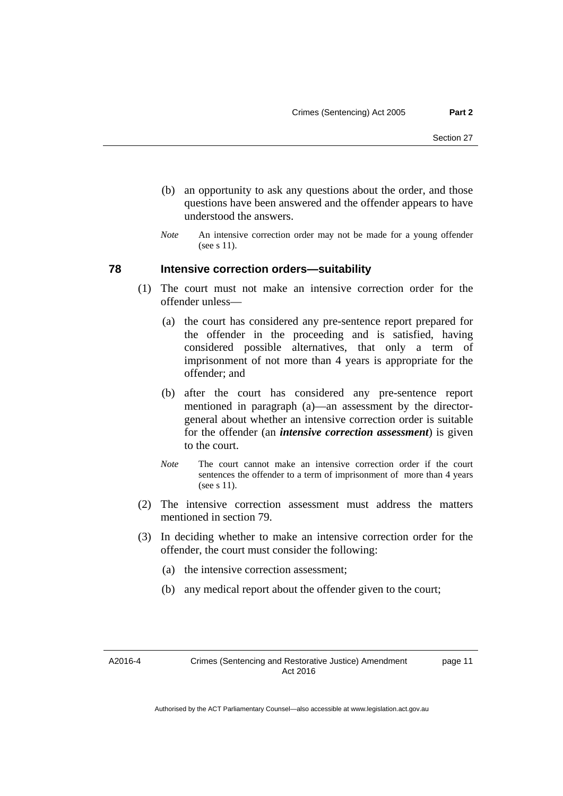- (b) an opportunity to ask any questions about the order, and those questions have been answered and the offender appears to have understood the answers.
- *Note* An intensive correction order may not be made for a young offender (see s 11).

### **78 Intensive correction orders—suitability**

- (1) The court must not make an intensive correction order for the offender unless—
	- (a) the court has considered any pre-sentence report prepared for the offender in the proceeding and is satisfied, having considered possible alternatives, that only a term of imprisonment of not more than 4 years is appropriate for the offender; and
	- (b) after the court has considered any pre-sentence report mentioned in paragraph (a)—an assessment by the directorgeneral about whether an intensive correction order is suitable for the offender (an *intensive correction assessment*) is given to the court.
	- *Note* The court cannot make an intensive correction order if the court sentences the offender to a term of imprisonment of more than 4 years (see s 11).
- (2) The intensive correction assessment must address the matters mentioned in section 79.
- (3) In deciding whether to make an intensive correction order for the offender, the court must consider the following:
	- (a) the intensive correction assessment;
	- (b) any medical report about the offender given to the court;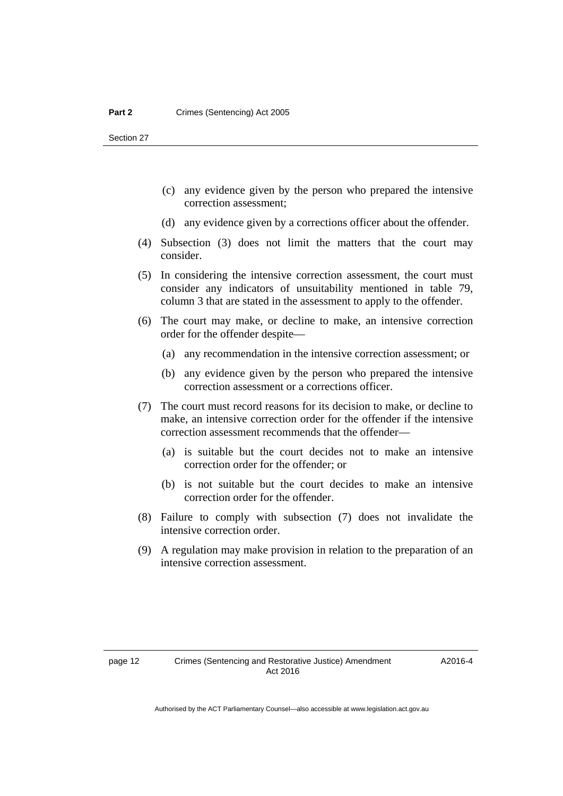- (c) any evidence given by the person who prepared the intensive correction assessment;
- (d) any evidence given by a corrections officer about the offender.
- (4) Subsection (3) does not limit the matters that the court may consider.
- (5) In considering the intensive correction assessment, the court must consider any indicators of unsuitability mentioned in table 79, column 3 that are stated in the assessment to apply to the offender.
- (6) The court may make, or decline to make, an intensive correction order for the offender despite—
	- (a) any recommendation in the intensive correction assessment; or
	- (b) any evidence given by the person who prepared the intensive correction assessment or a corrections officer.
- (7) The court must record reasons for its decision to make, or decline to make, an intensive correction order for the offender if the intensive correction assessment recommends that the offender—
	- (a) is suitable but the court decides not to make an intensive correction order for the offender; or
	- (b) is not suitable but the court decides to make an intensive correction order for the offender.
- (8) Failure to comply with subsection (7) does not invalidate the intensive correction order.
- (9) A regulation may make provision in relation to the preparation of an intensive correction assessment.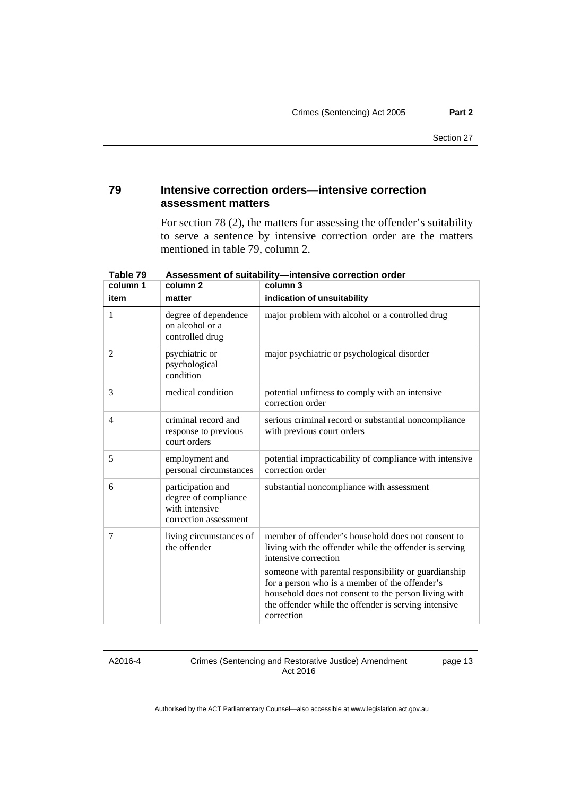### **79 Intensive correction orders—intensive correction assessment matters**

For section 78 (2), the matters for assessing the offender's suitability to serve a sentence by intensive correction order are the matters mentioned in table 79, column 2.

| column 1       | column 2                                                                             | column 3                                                                                                                                                                                                                             |
|----------------|--------------------------------------------------------------------------------------|--------------------------------------------------------------------------------------------------------------------------------------------------------------------------------------------------------------------------------------|
| item           | matter                                                                               | indication of unsuitability                                                                                                                                                                                                          |
| 1              | degree of dependence<br>on alcohol or a<br>controlled drug                           | major problem with alcohol or a controlled drug                                                                                                                                                                                      |
| 2              | psychiatric or<br>psychological<br>condition                                         | major psychiatric or psychological disorder                                                                                                                                                                                          |
| 3              | medical condition                                                                    | potential unfitness to comply with an intensive<br>correction order                                                                                                                                                                  |
| $\overline{4}$ | criminal record and<br>response to previous<br>court orders                          | serious criminal record or substantial noncompliance<br>with previous court orders                                                                                                                                                   |
| 5              | employment and<br>personal circumstances                                             | potential impracticability of compliance with intensive<br>correction order                                                                                                                                                          |
| 6              | participation and<br>degree of compliance<br>with intensive<br>correction assessment | substantial noncompliance with assessment                                                                                                                                                                                            |
| 7              | living circumstances of<br>the offender                                              | member of offender's household does not consent to<br>living with the offender while the offender is serving<br>intensive correction                                                                                                 |
|                |                                                                                      | someone with parental responsibility or guardianship<br>for a person who is a member of the offender's<br>household does not consent to the person living with<br>the offender while the offender is serving intensive<br>correction |

**Table 79 Assessment of suitability—intensive correction order** 

A2016-4

Crimes (Sentencing and Restorative Justice) Amendment Act 2016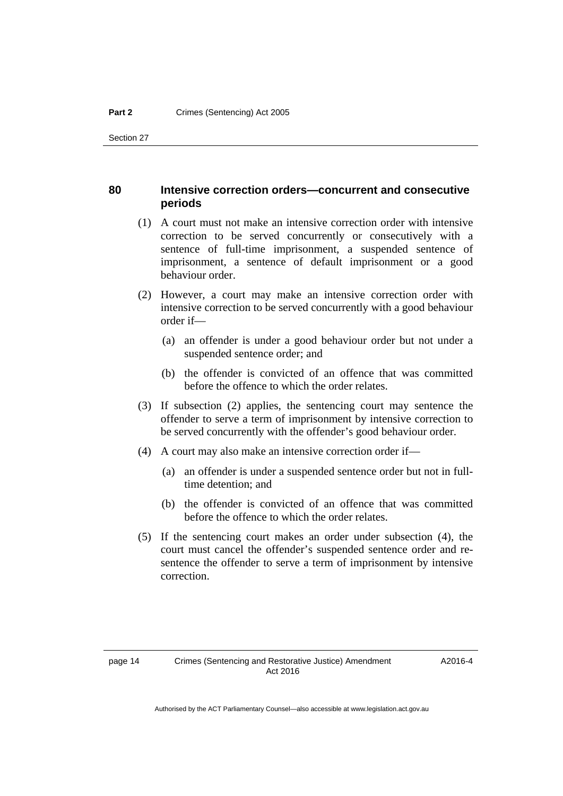### **80 Intensive correction orders—concurrent and consecutive periods**

- (1) A court must not make an intensive correction order with intensive correction to be served concurrently or consecutively with a sentence of full-time imprisonment, a suspended sentence of imprisonment, a sentence of default imprisonment or a good behaviour order.
- (2) However, a court may make an intensive correction order with intensive correction to be served concurrently with a good behaviour order if—
	- (a) an offender is under a good behaviour order but not under a suspended sentence order; and
	- (b) the offender is convicted of an offence that was committed before the offence to which the order relates.
- (3) If subsection (2) applies, the sentencing court may sentence the offender to serve a term of imprisonment by intensive correction to be served concurrently with the offender's good behaviour order.
- (4) A court may also make an intensive correction order if—
	- (a) an offender is under a suspended sentence order but not in fulltime detention; and
	- (b) the offender is convicted of an offence that was committed before the offence to which the order relates.
- (5) If the sentencing court makes an order under subsection (4), the court must cancel the offender's suspended sentence order and resentence the offender to serve a term of imprisonment by intensive correction.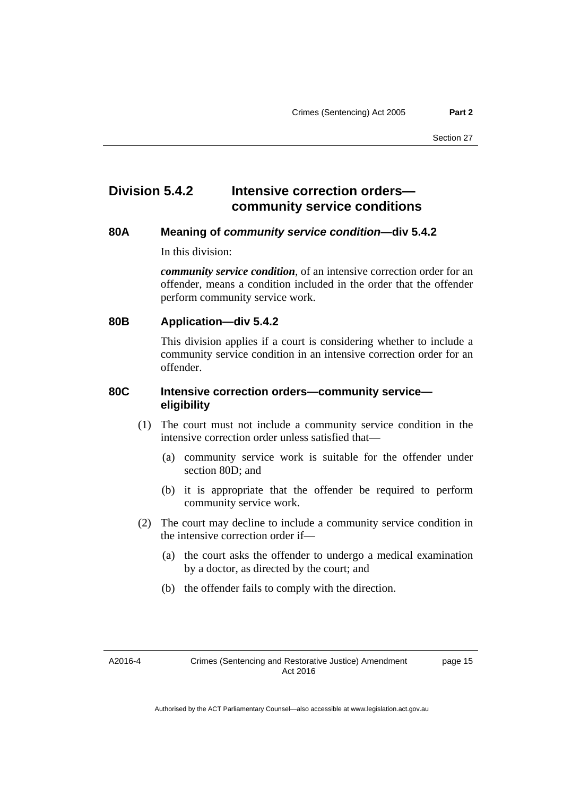### **Division 5.4.2 Intensive correction orders community service conditions**

### **80A Meaning of** *community service condition***—div 5.4.2**

In this division:

*community service condition*, of an intensive correction order for an offender, means a condition included in the order that the offender perform community service work.

**80B Application—div 5.4.2** 

This division applies if a court is considering whether to include a community service condition in an intensive correction order for an offender.

### **80C Intensive correction orders—community service eligibility**

- (1) The court must not include a community service condition in the intensive correction order unless satisfied that—
	- (a) community service work is suitable for the offender under section 80D; and
	- (b) it is appropriate that the offender be required to perform community service work.
- (2) The court may decline to include a community service condition in the intensive correction order if—
	- (a) the court asks the offender to undergo a medical examination by a doctor, as directed by the court; and
	- (b) the offender fails to comply with the direction.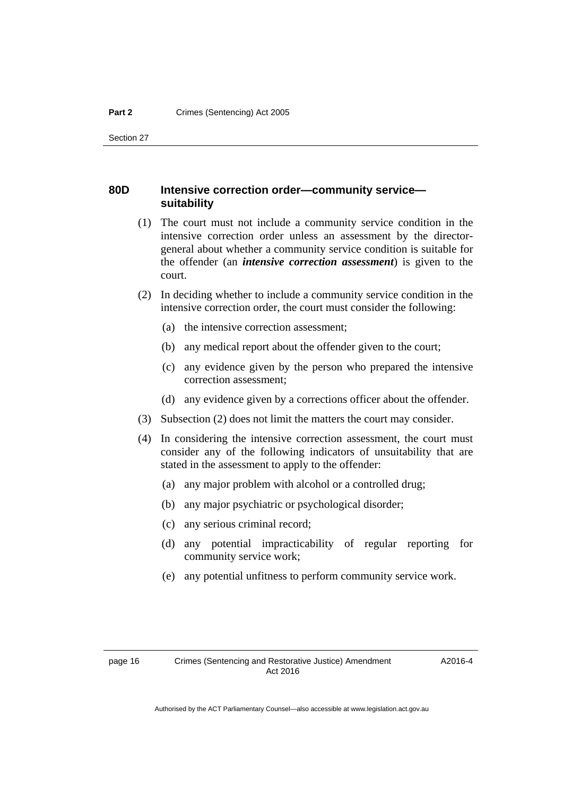### **80D Intensive correction order—community service suitability**

- (1) The court must not include a community service condition in the intensive correction order unless an assessment by the directorgeneral about whether a community service condition is suitable for the offender (an *intensive correction assessment*) is given to the court.
- (2) In deciding whether to include a community service condition in the intensive correction order, the court must consider the following:
	- (a) the intensive correction assessment;
	- (b) any medical report about the offender given to the court;
	- (c) any evidence given by the person who prepared the intensive correction assessment;
	- (d) any evidence given by a corrections officer about the offender.
- (3) Subsection (2) does not limit the matters the court may consider.
- (4) In considering the intensive correction assessment, the court must consider any of the following indicators of unsuitability that are stated in the assessment to apply to the offender:
	- (a) any major problem with alcohol or a controlled drug;
	- (b) any major psychiatric or psychological disorder;
	- (c) any serious criminal record;
	- (d) any potential impracticability of regular reporting for community service work;
	- (e) any potential unfitness to perform community service work.

A2016-4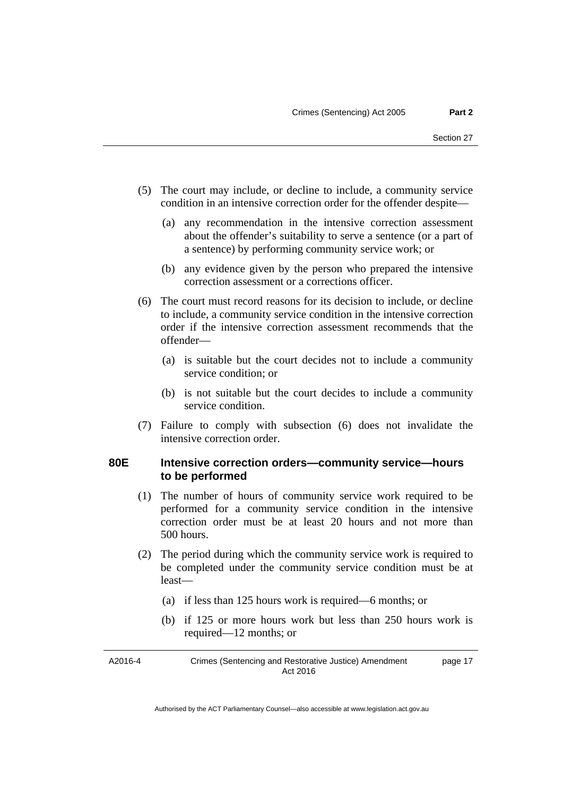- (5) The court may include, or decline to include, a community service condition in an intensive correction order for the offender despite—
	- (a) any recommendation in the intensive correction assessment about the offender's suitability to serve a sentence (or a part of a sentence) by performing community service work; or
	- (b) any evidence given by the person who prepared the intensive correction assessment or a corrections officer.
- (6) The court must record reasons for its decision to include, or decline to include, a community service condition in the intensive correction order if the intensive correction assessment recommends that the offender—
	- (a) is suitable but the court decides not to include a community service condition; or
	- (b) is not suitable but the court decides to include a community service condition.
- (7) Failure to comply with subsection (6) does not invalidate the intensive correction order.

### **80E Intensive correction orders—community service—hours to be performed**

- (1) The number of hours of community service work required to be performed for a community service condition in the intensive correction order must be at least 20 hours and not more than 500 hours.
- (2) The period during which the community service work is required to be completed under the community service condition must be at least—
	- (a) if less than 125 hours work is required—6 months; or
	- (b) if 125 or more hours work but less than 250 hours work is required—12 months; or

| A2016-4 | Crimes (Sentencing and Restorative Justice) Amendment | page 17 |
|---------|-------------------------------------------------------|---------|
|         | Act 2016                                              |         |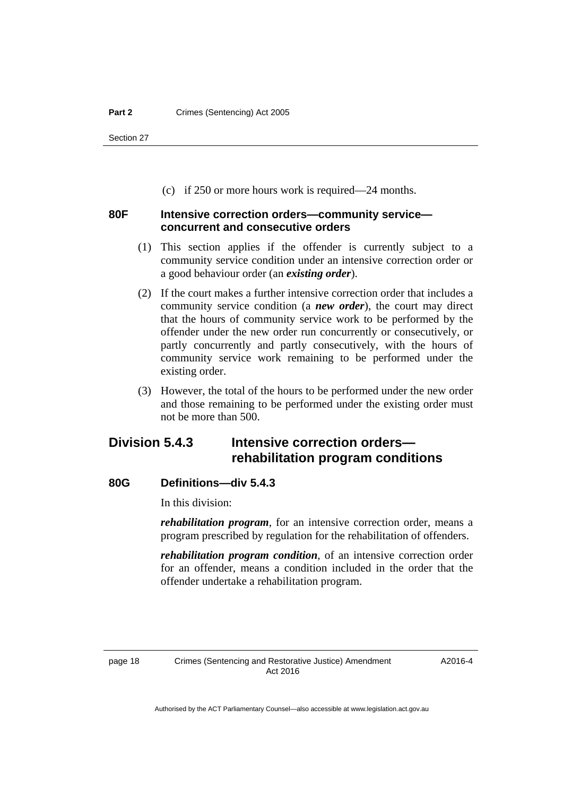(c) if 250 or more hours work is required—24 months.

### **80F Intensive correction orders—community service concurrent and consecutive orders**

- (1) This section applies if the offender is currently subject to a community service condition under an intensive correction order or a good behaviour order (an *existing order*).
- (2) If the court makes a further intensive correction order that includes a community service condition (a *new order*), the court may direct that the hours of community service work to be performed by the offender under the new order run concurrently or consecutively, or partly concurrently and partly consecutively, with the hours of community service work remaining to be performed under the existing order.
- (3) However, the total of the hours to be performed under the new order and those remaining to be performed under the existing order must not be more than 500.

## **Division 5.4.3 Intensive correction orders rehabilitation program conditions**

### **80G Definitions—div 5.4.3**

In this division:

*rehabilitation program*, for an intensive correction order, means a program prescribed by regulation for the rehabilitation of offenders.

*rehabilitation program condition*, of an intensive correction order for an offender, means a condition included in the order that the offender undertake a rehabilitation program.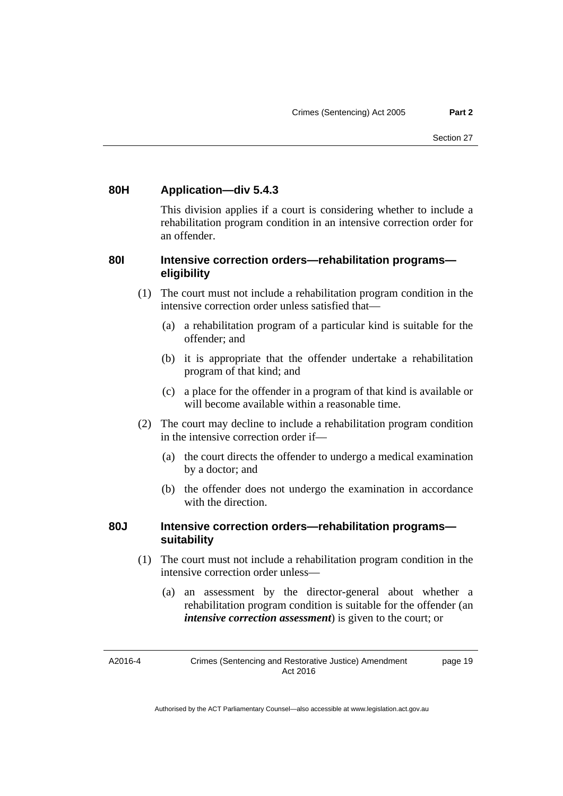### **80H Application—div 5.4.3**

This division applies if a court is considering whether to include a rehabilitation program condition in an intensive correction order for an offender.

### **80I Intensive correction orders—rehabilitation programs eligibility**

- (1) The court must not include a rehabilitation program condition in the intensive correction order unless satisfied that—
	- (a) a rehabilitation program of a particular kind is suitable for the offender; and
	- (b) it is appropriate that the offender undertake a rehabilitation program of that kind; and
	- (c) a place for the offender in a program of that kind is available or will become available within a reasonable time.
- (2) The court may decline to include a rehabilitation program condition in the intensive correction order if—
	- (a) the court directs the offender to undergo a medical examination by a doctor; and
	- (b) the offender does not undergo the examination in accordance with the direction.

### **80J Intensive correction orders—rehabilitation programs suitability**

- (1) The court must not include a rehabilitation program condition in the intensive correction order unless—
	- (a) an assessment by the director-general about whether a rehabilitation program condition is suitable for the offender (an *intensive correction assessment*) is given to the court; or

A2016-4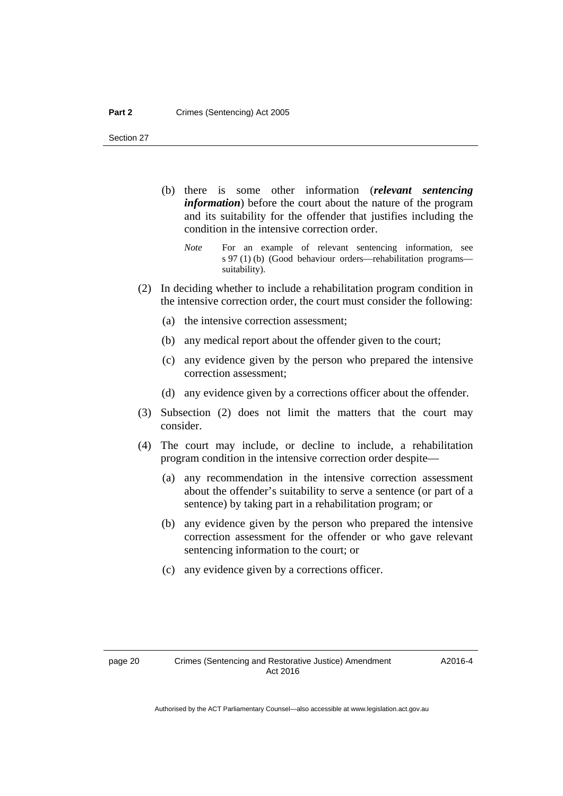- (b) there is some other information (*relevant sentencing information*) before the court about the nature of the program and its suitability for the offender that justifies including the condition in the intensive correction order.
	- *Note* For an example of relevant sentencing information, see s 97 (1) (b) (Good behaviour orders—rehabilitation programs suitability).
- (2) In deciding whether to include a rehabilitation program condition in the intensive correction order, the court must consider the following:
	- (a) the intensive correction assessment;
	- (b) any medical report about the offender given to the court;
	- (c) any evidence given by the person who prepared the intensive correction assessment;
	- (d) any evidence given by a corrections officer about the offender.
- (3) Subsection (2) does not limit the matters that the court may consider.
- (4) The court may include, or decline to include, a rehabilitation program condition in the intensive correction order despite—
	- (a) any recommendation in the intensive correction assessment about the offender's suitability to serve a sentence (or part of a sentence) by taking part in a rehabilitation program; or
	- (b) any evidence given by the person who prepared the intensive correction assessment for the offender or who gave relevant sentencing information to the court; or
	- (c) any evidence given by a corrections officer.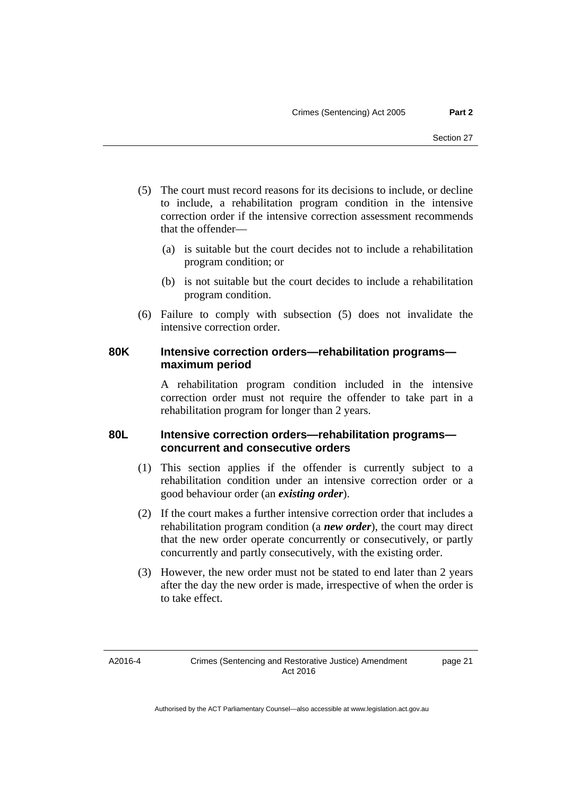- (5) The court must record reasons for its decisions to include, or decline to include, a rehabilitation program condition in the intensive correction order if the intensive correction assessment recommends that the offender—
	- (a) is suitable but the court decides not to include a rehabilitation program condition; or
	- (b) is not suitable but the court decides to include a rehabilitation program condition.
- (6) Failure to comply with subsection (5) does not invalidate the intensive correction order.

### **80K Intensive correction orders—rehabilitation programs maximum period**

A rehabilitation program condition included in the intensive correction order must not require the offender to take part in a rehabilitation program for longer than 2 years.

### **80L Intensive correction orders—rehabilitation programs concurrent and consecutive orders**

- (1) This section applies if the offender is currently subject to a rehabilitation condition under an intensive correction order or a good behaviour order (an *existing order*).
- (2) If the court makes a further intensive correction order that includes a rehabilitation program condition (a *new order*), the court may direct that the new order operate concurrently or consecutively, or partly concurrently and partly consecutively, with the existing order.
- (3) However, the new order must not be stated to end later than 2 years after the day the new order is made, irrespective of when the order is to take effect.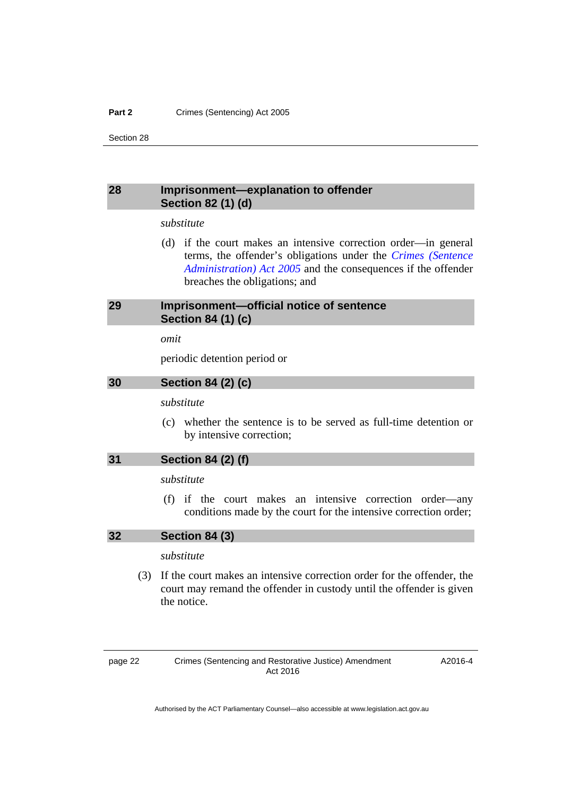### **Part 2 Crimes (Sentencing) Act 2005**

Section 28

### <span id="page-27-0"></span>**28 Imprisonment—explanation to offender Section 82 (1) (d)**

### *substitute*

 (d) if the court makes an intensive correction order—in general terms, the offender's obligations under the *[Crimes \(Sentence](http://www.legislation.act.gov.au/a/2005-59)  [Administration\) Act 2005](http://www.legislation.act.gov.au/a/2005-59)* and the consequences if the offender breaches the obligations; and

### <span id="page-27-1"></span>**29 Imprisonment—official notice of sentence Section 84 (1) (c)**

### *omit*

periodic detention period or

### <span id="page-27-2"></span>**30 Section 84 (2) (c)**

### *substitute*

 (c) whether the sentence is to be served as full-time detention or by intensive correction;

### <span id="page-27-3"></span>**31 Section 84 (2) (f)**

### *substitute*

 (f) if the court makes an intensive correction order—any conditions made by the court for the intensive correction order;

### <span id="page-27-4"></span>**32 Section 84 (3)**

### *substitute*

 (3) If the court makes an intensive correction order for the offender, the court may remand the offender in custody until the offender is given the notice.

page 22 Crimes (Sentencing and Restorative Justice) Amendment Act 2016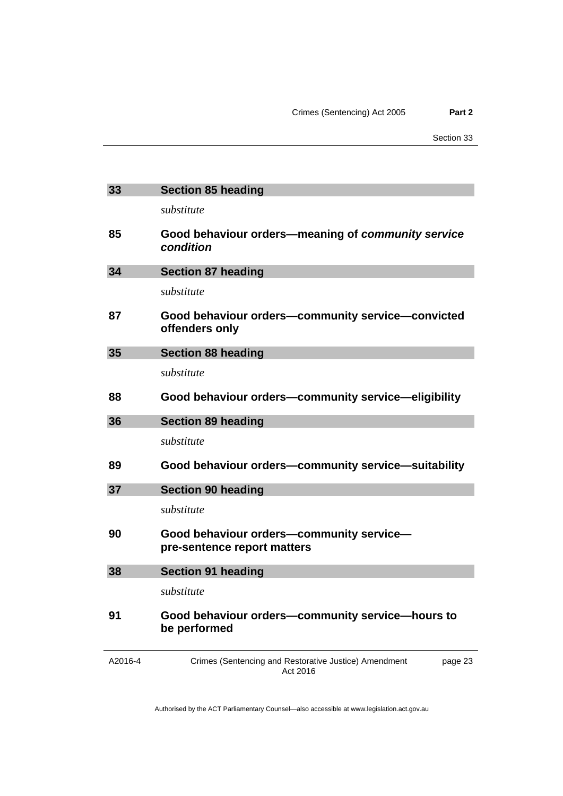<span id="page-28-5"></span><span id="page-28-4"></span><span id="page-28-3"></span><span id="page-28-2"></span><span id="page-28-1"></span><span id="page-28-0"></span>

| 33      | <b>Section 85 heading</b>                                                    |  |
|---------|------------------------------------------------------------------------------|--|
|         | substitute                                                                   |  |
| 85      | Good behaviour orders-meaning of community service<br>condition              |  |
| 34      | <b>Section 87 heading</b>                                                    |  |
|         | substitute                                                                   |  |
| 87      | Good behaviour orders-community service-convicted<br>offenders only          |  |
| 35      | <b>Section 88 heading</b>                                                    |  |
|         | substitute                                                                   |  |
| 88      | Good behaviour orders-community service-eligibility                          |  |
| 36      | <b>Section 89 heading</b>                                                    |  |
|         | substitute                                                                   |  |
| 89      | Good behaviour orders-community service-suitability                          |  |
| 37      | <b>Section 90 heading</b>                                                    |  |
|         | substitute                                                                   |  |
| 90      | Good behaviour orders-community service-<br>pre-sentence report matters      |  |
| 38      | <b>Section 91 heading</b>                                                    |  |
|         | substitute                                                                   |  |
| 91      | Good behaviour orders-community service-hours to<br>be performed             |  |
| A2016-4 | Crimes (Sentencing and Restorative Justice) Amendment<br>page 23<br>Act 2016 |  |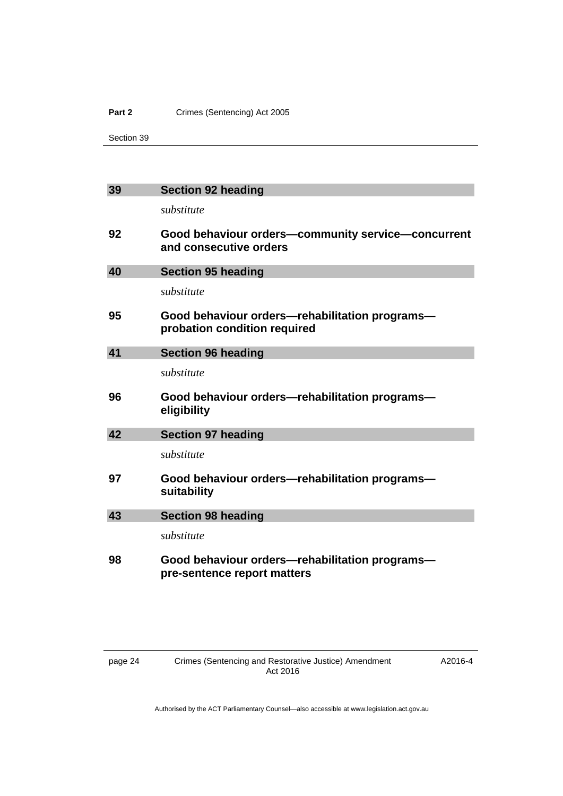### Part 2 **Crimes (Sentencing)** Act 2005

Section 39

<span id="page-29-4"></span><span id="page-29-3"></span><span id="page-29-2"></span><span id="page-29-1"></span><span id="page-29-0"></span>

| 39 | <b>Section 92 heading</b>                                                      |
|----|--------------------------------------------------------------------------------|
|    | substitute                                                                     |
| 92 | Good behaviour orders-community service-concurrent<br>and consecutive orders   |
| 40 | <b>Section 95 heading</b>                                                      |
|    | substitute                                                                     |
| 95 | Good behaviour orders-rehabilitation programs-<br>probation condition required |
| 41 | <b>Section 96 heading</b>                                                      |
|    | substitute                                                                     |
| 96 | Good behaviour orders—rehabilitation programs—<br>eligibility                  |
| 42 | <b>Section 97 heading</b>                                                      |
|    | substitute                                                                     |
| 97 | Good behaviour orders—rehabilitation programs—<br>suitability                  |
| 43 | <b>Section 98 heading</b>                                                      |
|    | substitute                                                                     |
| 98 | Good behaviour orders—rehabilitation programs—<br>pre-sentence report matters  |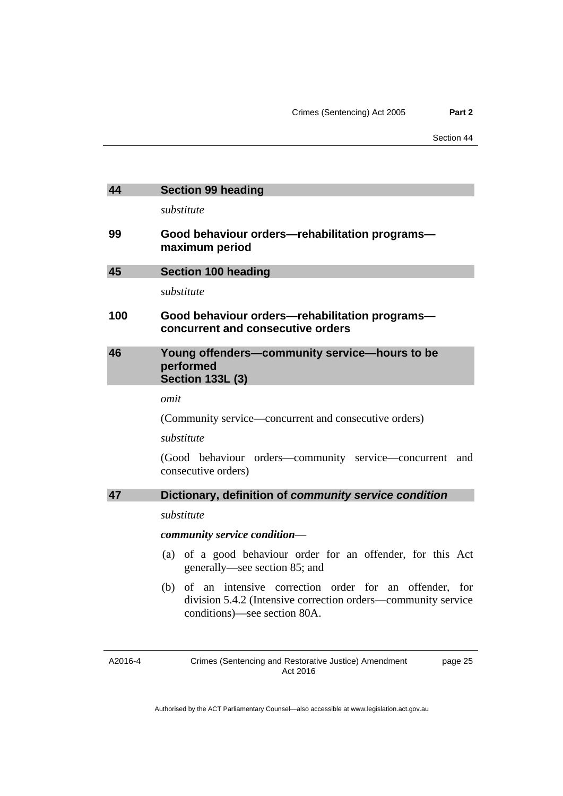<span id="page-30-3"></span><span id="page-30-2"></span><span id="page-30-1"></span><span id="page-30-0"></span>

| 44                                                          | <b>Section 99 heading</b>                                                                                                                                  |  |  |
|-------------------------------------------------------------|------------------------------------------------------------------------------------------------------------------------------------------------------------|--|--|
|                                                             | substitute                                                                                                                                                 |  |  |
| 99                                                          | Good behaviour orders—rehabilitation programs—<br>maximum period                                                                                           |  |  |
| 45                                                          | <b>Section 100 heading</b>                                                                                                                                 |  |  |
|                                                             | substitute                                                                                                                                                 |  |  |
| 100                                                         | Good behaviour orders-rehabilitation programs-<br>concurrent and consecutive orders                                                                        |  |  |
| 46                                                          | Young offenders-community service-hours to be<br>performed<br><b>Section 133L (3)</b>                                                                      |  |  |
|                                                             | omit                                                                                                                                                       |  |  |
|                                                             | (Community service—concurrent and consecutive orders)                                                                                                      |  |  |
|                                                             | substitute                                                                                                                                                 |  |  |
|                                                             | (Good behaviour orders—community service—concurrent and<br>consecutive orders)                                                                             |  |  |
| 47<br>Dictionary, definition of community service condition |                                                                                                                                                            |  |  |
|                                                             | substitute                                                                                                                                                 |  |  |
|                                                             | community service condition-                                                                                                                               |  |  |
|                                                             | (a) of a good behaviour order for an offender, for this Act<br>generally—see section 85; and                                                               |  |  |
|                                                             | (b) of an intensive correction order for an offender, for<br>division 5.4.2 (Intensive correction orders—community service<br>conditions)—see section 80A. |  |  |
| A2016-4                                                     | Crimes (Sentencing and Restorative Justice) Amendment<br>page 25<br>Act 2016                                                                               |  |  |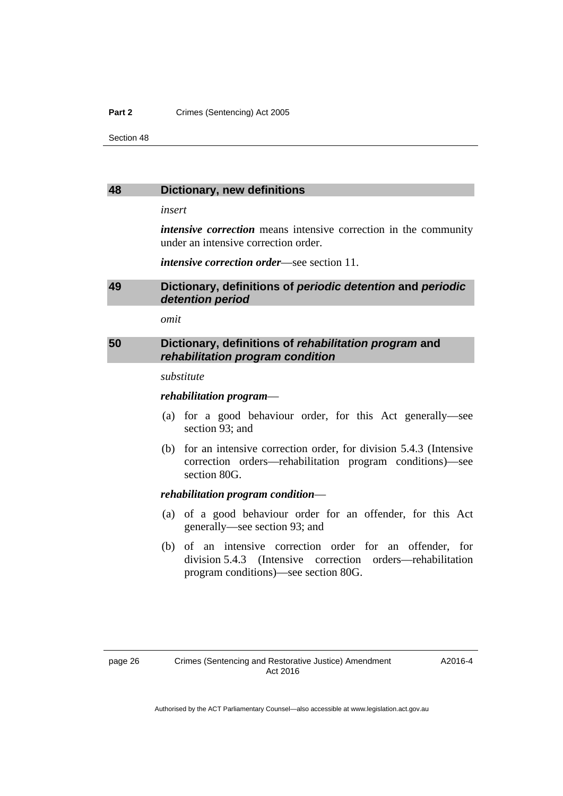### **Part 2 Crimes (Sentencing) Act 2005**

Section 48

### <span id="page-31-0"></span>**48 Dictionary, new definitions**

*insert* 

*intensive correction* means intensive correction in the community under an intensive correction order.

*intensive correction order*—see section 11.

### <span id="page-31-1"></span>**49 Dictionary, definitions of** *periodic detention* **and** *periodic detention period*

*omit* 

### <span id="page-31-2"></span>**50 Dictionary, definitions of** *rehabilitation program* **and**  *rehabilitation program condition*

#### *substitute*

### *rehabilitation program*—

- (a) for a good behaviour order, for this Act generally—see section 93; and
- (b) for an intensive correction order, for division 5.4.3 (Intensive correction orders—rehabilitation program conditions)—see section 80G.

### *rehabilitation program condition*—

- (a) of a good behaviour order for an offender, for this Act generally—see section 93; and
- (b) of an intensive correction order for an offender, for division 5.4.3 (Intensive correction orders—rehabilitation program conditions)—see section 80G.

A2016-4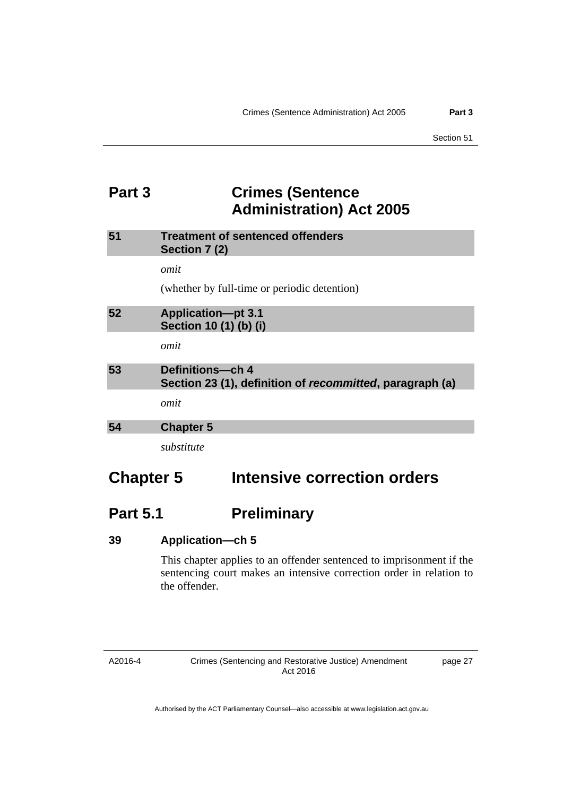## <span id="page-32-0"></span>**Part 3 Crimes (Sentence Administration) Act 2005**

<span id="page-32-3"></span><span id="page-32-2"></span><span id="page-32-1"></span>

| 51               | <b>Treatment of sentenced offenders</b><br>Section 7 (2)                     |
|------------------|------------------------------------------------------------------------------|
|                  | omit                                                                         |
|                  | (whether by full-time or periodic detention)                                 |
| 52               | <b>Application-pt 3.1</b><br>Section 10 (1) (b) (i)                          |
|                  | omit                                                                         |
| 53               | Definitions-ch 4<br>Section 23 (1), definition of recommitted, paragraph (a) |
|                  | omit                                                                         |
| 54               | <b>Chapter 5</b>                                                             |
|                  | substitute                                                                   |
| <b>Chapter 5</b> | Intensive correction orders                                                  |

# <span id="page-32-4"></span>**Part 5.1** Preliminary

| 39 | <b>Application–ch 5</b> |  |
|----|-------------------------|--|
|----|-------------------------|--|

This chapter applies to an offender sentenced to imprisonment if the sentencing court makes an intensive correction order in relation to the offender.

### A2016-4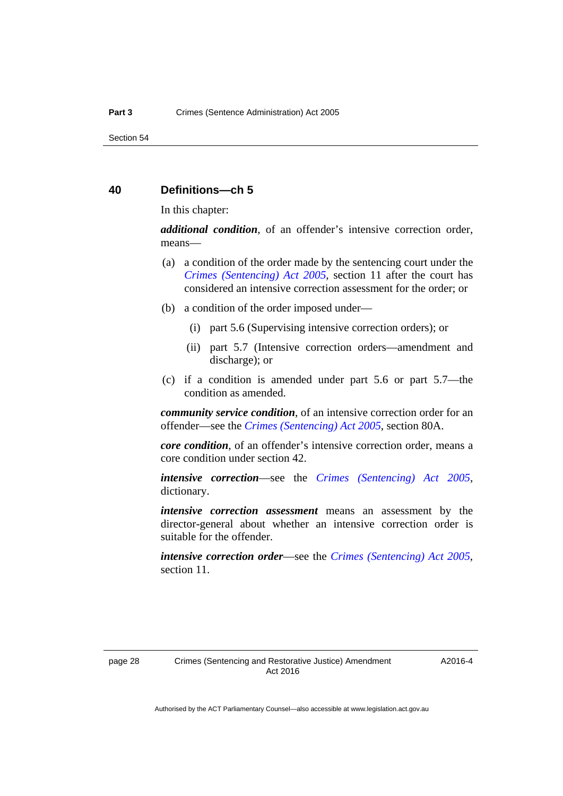### **40 Definitions—ch 5**

In this chapter:

*additional condition*, of an offender's intensive correction order, means—

- (a) a condition of the order made by the sentencing court under the *[Crimes \(Sentencing\) Act 2005](http://www.legislation.act.gov.au/a/2005-58)*, section 11 after the court has considered an intensive correction assessment for the order; or
- (b) a condition of the order imposed under—
	- (i) part 5.6 (Supervising intensive correction orders); or
	- (ii) part 5.7 (Intensive correction orders—amendment and discharge); or
- (c) if a condition is amended under part 5.6 or part 5.7—the condition as amended.

*community service condition*, of an intensive correction order for an offender—see the *[Crimes \(Sentencing\) Act 2005](http://www.legislation.act.gov.au/a/2005-58)*, section 80A.

*core condition*, of an offender's intensive correction order, means a core condition under section 42.

*intensive correction*—see the *[Crimes \(Sentencing\) Act 2005](http://www.legislation.act.gov.au/a/2005-58)*, dictionary.

*intensive correction assessment* means an assessment by the director-general about whether an intensive correction order is suitable for the offender.

*intensive correction order*—see the *[Crimes \(Sentencing\) Act 2005](http://www.legislation.act.gov.au/a/2005-58)*, section 11.

A2016-4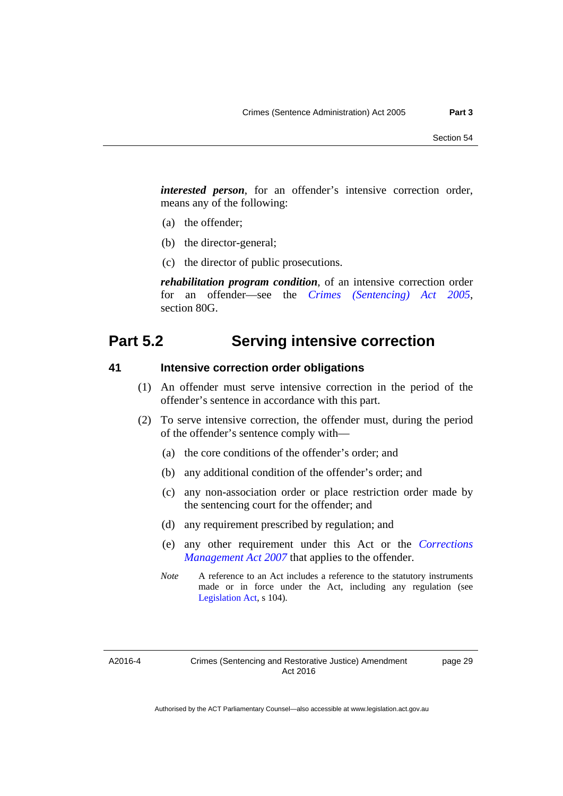*interested person*, for an offender's intensive correction order, means any of the following:

- (a) the offender;
- (b) the director-general;
- (c) the director of public prosecutions.

*rehabilitation program condition*, of an intensive correction order for an offender—see the *[Crimes \(Sentencing\) Act 2005](http://www.legislation.act.gov.au/a/2005-58)*, section 80G.

## **Part 5.2 Serving intensive correction**

### **41 Intensive correction order obligations**

- (1) An offender must serve intensive correction in the period of the offender's sentence in accordance with this part.
- (2) To serve intensive correction, the offender must, during the period of the offender's sentence comply with—
	- (a) the core conditions of the offender's order; and
	- (b) any additional condition of the offender's order; and
	- (c) any non-association order or place restriction order made by the sentencing court for the offender; and
	- (d) any requirement prescribed by regulation; and
	- (e) any other requirement under this Act or the *[Corrections](http://www.legislation.act.gov.au/a/2007-15)  [Management Act 2007](http://www.legislation.act.gov.au/a/2007-15)* that applies to the offender.
	- *Note* A reference to an Act includes a reference to the statutory instruments made or in force under the Act, including any regulation (see [Legislation Act,](http://www.legislation.act.gov.au/a/2001-14) s 104).

A2016-4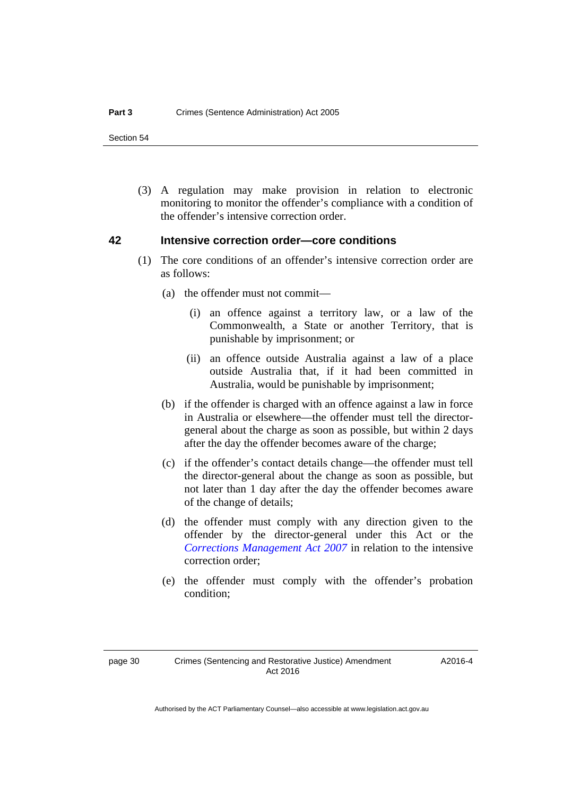(3) A regulation may make provision in relation to electronic monitoring to monitor the offender's compliance with a condition of the offender's intensive correction order.

### **42 Intensive correction order—core conditions**

- (1) The core conditions of an offender's intensive correction order are as follows:
	- (a) the offender must not commit—
		- (i) an offence against a territory law, or a law of the Commonwealth, a State or another Territory, that is punishable by imprisonment; or
		- (ii) an offence outside Australia against a law of a place outside Australia that, if it had been committed in Australia, would be punishable by imprisonment;
	- (b) if the offender is charged with an offence against a law in force in Australia or elsewhere—the offender must tell the directorgeneral about the charge as soon as possible, but within 2 days after the day the offender becomes aware of the charge;
	- (c) if the offender's contact details change—the offender must tell the director-general about the change as soon as possible, but not later than 1 day after the day the offender becomes aware of the change of details;
	- (d) the offender must comply with any direction given to the offender by the director-general under this Act or the *[Corrections Management Act 2007](http://www.legislation.act.gov.au/a/2007-15)* in relation to the intensive correction order;
	- (e) the offender must comply with the offender's probation condition;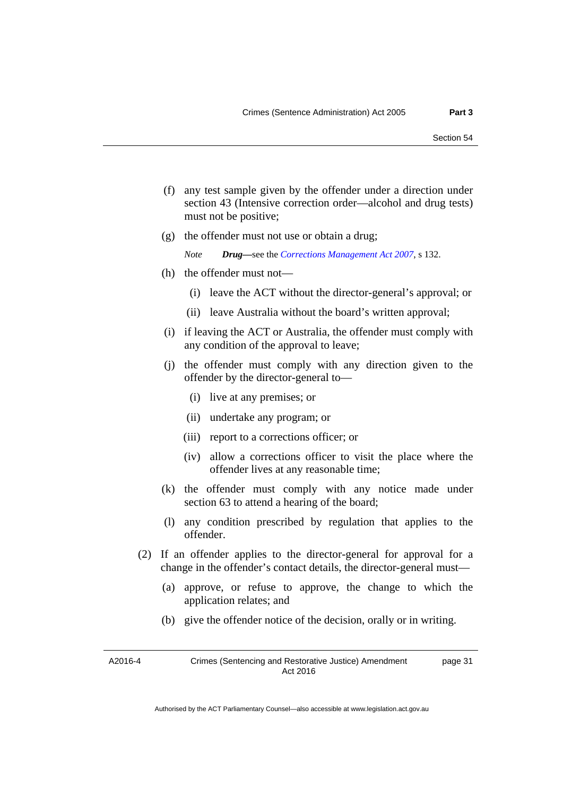- (f) any test sample given by the offender under a direction under section 43 (Intensive correction order—alcohol and drug tests) must not be positive;
- (g) the offender must not use or obtain a drug;

```
Note Drug—see the Corrections Management Act 2007, s 132.
```
- (h) the offender must not—
	- (i) leave the ACT without the director-general's approval; or
	- (ii) leave Australia without the board's written approval;
- (i) if leaving the ACT or Australia, the offender must comply with any condition of the approval to leave;
- (j) the offender must comply with any direction given to the offender by the director-general to—
	- (i) live at any premises; or
	- (ii) undertake any program; or
	- (iii) report to a corrections officer; or
	- (iv) allow a corrections officer to visit the place where the offender lives at any reasonable time;
- (k) the offender must comply with any notice made under section 63 to attend a hearing of the board;
- (l) any condition prescribed by regulation that applies to the offender.
- (2) If an offender applies to the director-general for approval for a change in the offender's contact details, the director-general must—
	- (a) approve, or refuse to approve, the change to which the application relates; and
	- (b) give the offender notice of the decision, orally or in writing.

A2016-4 Crimes (Sentencing and Restorative Justice) Amendment Act 2016 page 31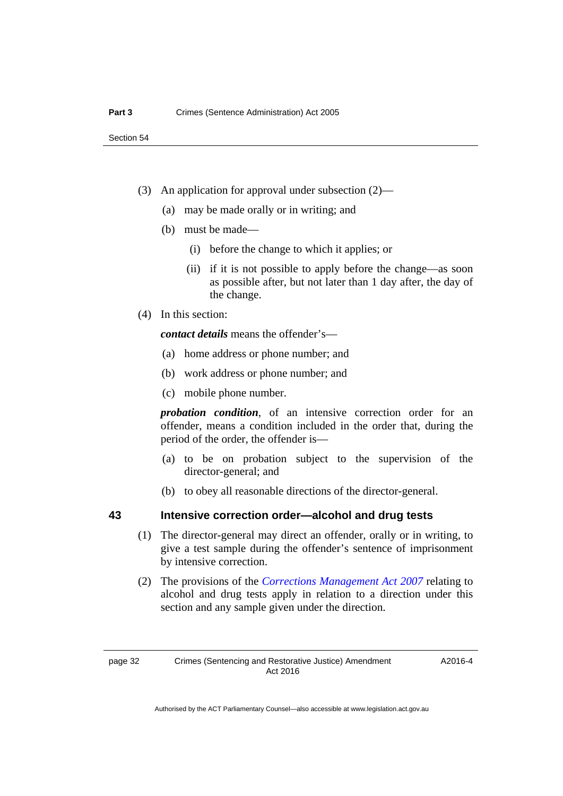- (3) An application for approval under subsection (2)—
	- (a) may be made orally or in writing; and
	- (b) must be made—
		- (i) before the change to which it applies; or
		- (ii) if it is not possible to apply before the change—as soon as possible after, but not later than 1 day after, the day of the change.
- (4) In this section:

*contact details* means the offender's—

- (a) home address or phone number; and
- (b) work address or phone number; and
- (c) mobile phone number.

*probation condition*, of an intensive correction order for an offender, means a condition included in the order that, during the period of the order, the offender is—

- (a) to be on probation subject to the supervision of the director-general; and
- (b) to obey all reasonable directions of the director-general.

## **43 Intensive correction order—alcohol and drug tests**

- (1) The director-general may direct an offender, orally or in writing, to give a test sample during the offender's sentence of imprisonment by intensive correction.
- (2) The provisions of the *[Corrections Management Act 2007](http://www.legislation.act.gov.au/a/2007-15)* relating to alcohol and drug tests apply in relation to a direction under this section and any sample given under the direction.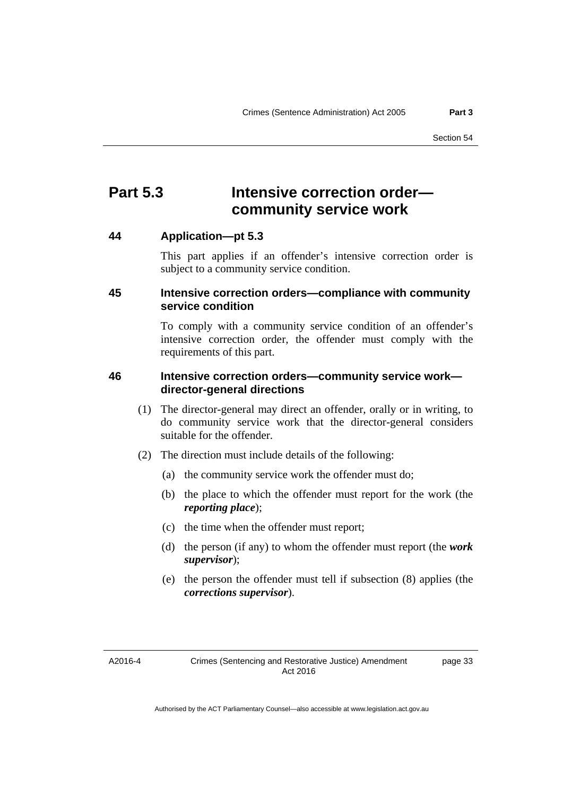# **Part 5.3 Intensive correction order community service work**

# **44 Application—pt 5.3**

This part applies if an offender's intensive correction order is subject to a community service condition.

# **45 Intensive correction orders—compliance with community service condition**

To comply with a community service condition of an offender's intensive correction order, the offender must comply with the requirements of this part.

# **46 Intensive correction orders—community service work director-general directions**

- (1) The director-general may direct an offender, orally or in writing, to do community service work that the director-general considers suitable for the offender.
- (2) The direction must include details of the following:
	- (a) the community service work the offender must do;
	- (b) the place to which the offender must report for the work (the *reporting place*);
	- (c) the time when the offender must report;
	- (d) the person (if any) to whom the offender must report (the *work supervisor*);
	- (e) the person the offender must tell if subsection (8) applies (the *corrections supervisor*).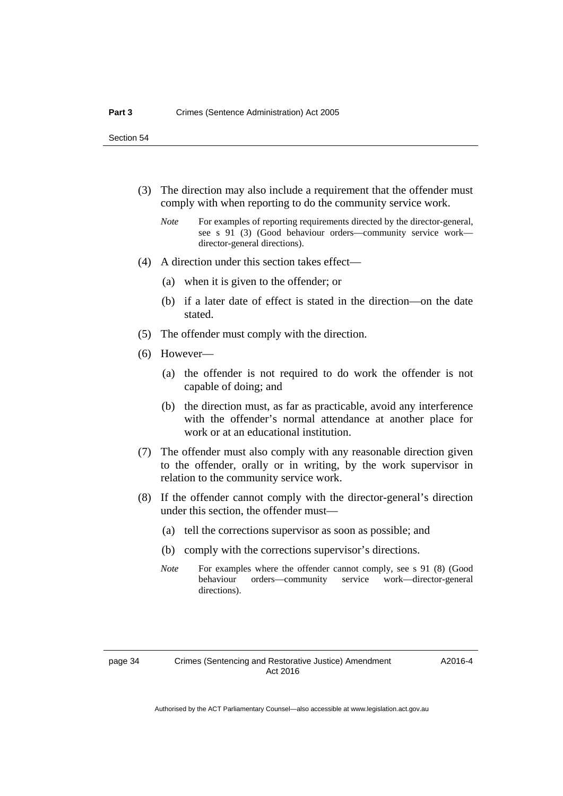- (3) The direction may also include a requirement that the offender must comply with when reporting to do the community service work.
	- *Note* For examples of reporting requirements directed by the director-general, see s 91 (3) (Good behaviour orders—community service work director-general directions).
- (4) A direction under this section takes effect—
	- (a) when it is given to the offender; or
	- (b) if a later date of effect is stated in the direction—on the date stated.
- (5) The offender must comply with the direction.
- (6) However—
	- (a) the offender is not required to do work the offender is not capable of doing; and
	- (b) the direction must, as far as practicable, avoid any interference with the offender's normal attendance at another place for work or at an educational institution.
- (7) The offender must also comply with any reasonable direction given to the offender, orally or in writing, by the work supervisor in relation to the community service work.
- (8) If the offender cannot comply with the director-general's direction under this section, the offender must—
	- (a) tell the corrections supervisor as soon as possible; and
	- (b) comply with the corrections supervisor's directions.
	- *Note* For examples where the offender cannot comply, see s 91 (8) (Good behaviour orders—community service work—director-general directions).

A2016-4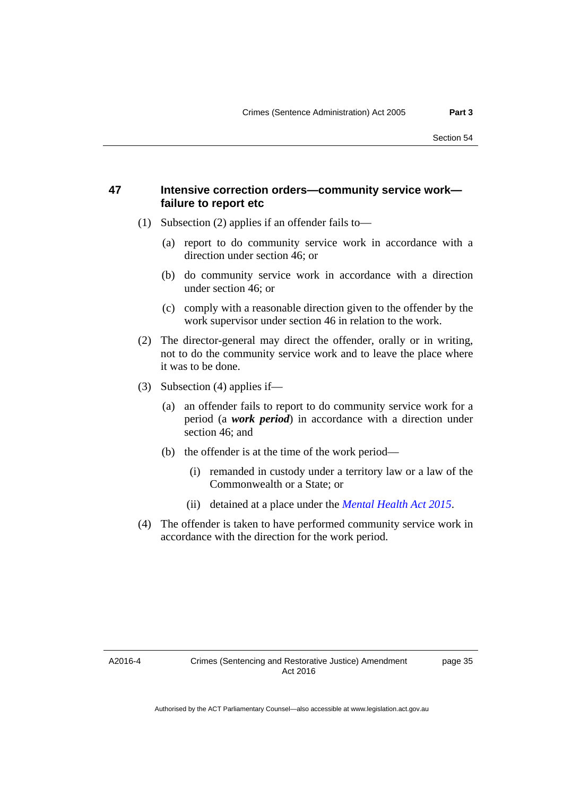# **47 Intensive correction orders—community service work failure to report etc**

- (1) Subsection (2) applies if an offender fails to—
	- (a) report to do community service work in accordance with a direction under section 46; or
	- (b) do community service work in accordance with a direction under section 46; or
	- (c) comply with a reasonable direction given to the offender by the work supervisor under section 46 in relation to the work.
- (2) The director-general may direct the offender, orally or in writing, not to do the community service work and to leave the place where it was to be done.
- (3) Subsection (4) applies if—
	- (a) an offender fails to report to do community service work for a period (a *work period*) in accordance with a direction under section 46; and
	- (b) the offender is at the time of the work period—
		- (i) remanded in custody under a territory law or a law of the Commonwealth or a State; or
		- (ii) detained at a place under the *[Mental Health Act 2015](http://www.legislation.act.gov.au/a/2015-38/default.asp)*.
- (4) The offender is taken to have performed community service work in accordance with the direction for the work period.

A2016-4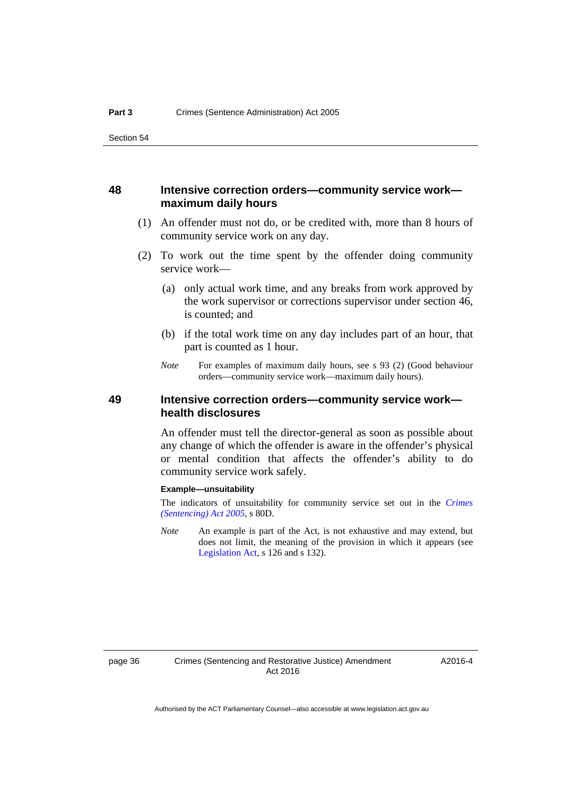## **48 Intensive correction orders—community service work maximum daily hours**

- (1) An offender must not do, or be credited with, more than 8 hours of community service work on any day.
- (2) To work out the time spent by the offender doing community service work—
	- (a) only actual work time, and any breaks from work approved by the work supervisor or corrections supervisor under section 46, is counted; and
	- (b) if the total work time on any day includes part of an hour, that part is counted as 1 hour.
	- *Note* For examples of maximum daily hours, see s 93 (2) (Good behaviour orders—community service work—maximum daily hours).

# **49 Intensive correction orders—community service work health disclosures**

An offender must tell the director-general as soon as possible about any change of which the offender is aware in the offender's physical or mental condition that affects the offender's ability to do community service work safely.

#### **Example—unsuitability**

The indicators of unsuitability for community service set out in the *[Crimes](http://www.legislation.act.gov.au/a/2005-58)  [\(Sentencing\) Act 2005](http://www.legislation.act.gov.au/a/2005-58)*, s 80D.

*Note* An example is part of the Act, is not exhaustive and may extend, but does not limit, the meaning of the provision in which it appears (see [Legislation Act,](http://www.legislation.act.gov.au/a/2001-14) s 126 and s 132).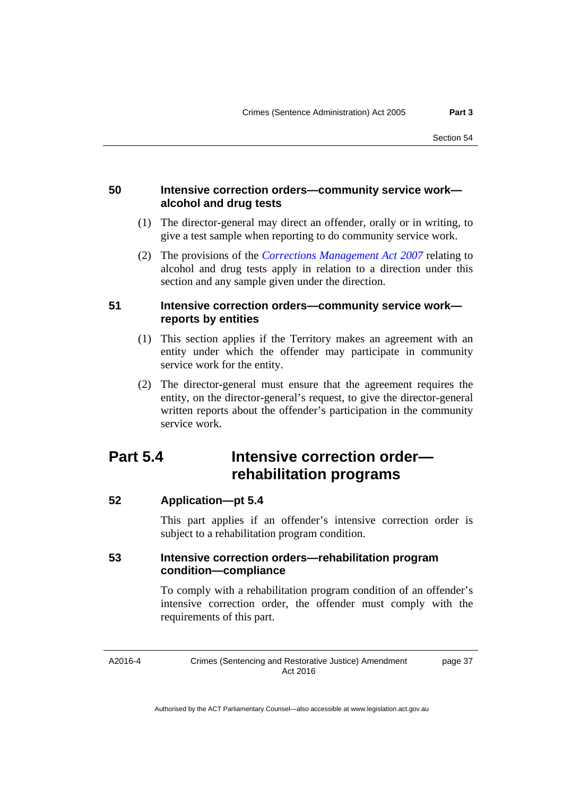# **50 Intensive correction orders—community service work alcohol and drug tests**

- (1) The director-general may direct an offender, orally or in writing, to give a test sample when reporting to do community service work.
- (2) The provisions of the *[Corrections Management Act 2007](http://www.legislation.act.gov.au/a/2007-15)* relating to alcohol and drug tests apply in relation to a direction under this section and any sample given under the direction.

# **51 Intensive correction orders—community service work reports by entities**

- (1) This section applies if the Territory makes an agreement with an entity under which the offender may participate in community service work for the entity.
- (2) The director-general must ensure that the agreement requires the entity, on the director-general's request, to give the director-general written reports about the offender's participation in the community service work.

# **Part 5.4 Intensive correction order rehabilitation programs**

**52 Application—pt 5.4** 

This part applies if an offender's intensive correction order is subject to a rehabilitation program condition.

# **53 Intensive correction orders—rehabilitation program condition—compliance**

To comply with a rehabilitation program condition of an offender's intensive correction order, the offender must comply with the requirements of this part.

A2016-4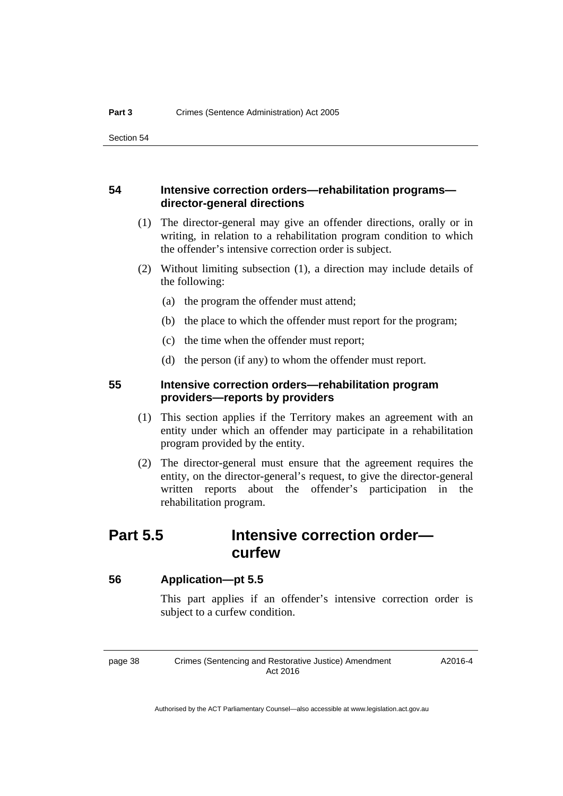# **54 Intensive correction orders—rehabilitation programs director-general directions**

- (1) The director-general may give an offender directions, orally or in writing, in relation to a rehabilitation program condition to which the offender's intensive correction order is subject.
- (2) Without limiting subsection (1), a direction may include details of the following:
	- (a) the program the offender must attend;
	- (b) the place to which the offender must report for the program;
	- (c) the time when the offender must report;
	- (d) the person (if any) to whom the offender must report.

# **55 Intensive correction orders—rehabilitation program providers—reports by providers**

- (1) This section applies if the Territory makes an agreement with an entity under which an offender may participate in a rehabilitation program provided by the entity.
- (2) The director-general must ensure that the agreement requires the entity, on the director-general's request, to give the director-general written reports about the offender's participation in the rehabilitation program.

# **Part 5.5 Intensive correction order curfew**

# **56 Application—pt 5.5**

This part applies if an offender's intensive correction order is subject to a curfew condition.

page 38 Crimes (Sentencing and Restorative Justice) Amendment Act 2016

A2016-4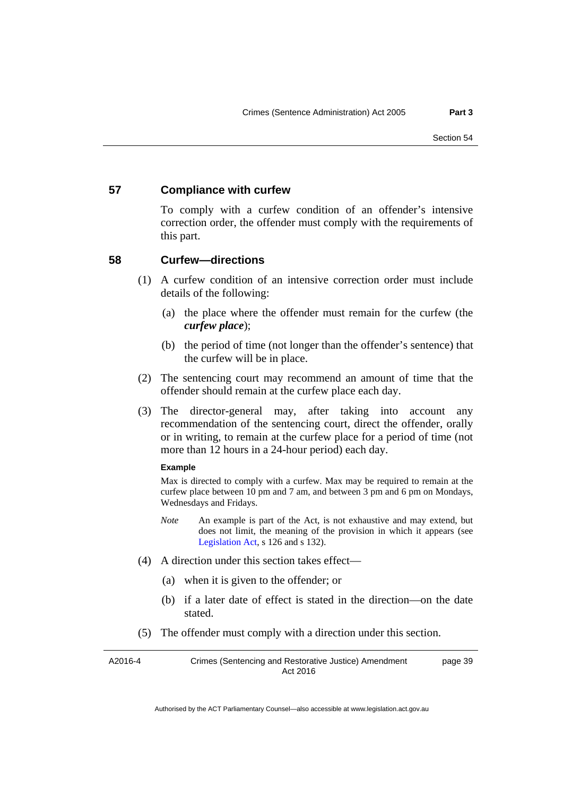### **57 Compliance with curfew**

To comply with a curfew condition of an offender's intensive correction order, the offender must comply with the requirements of this part.

### **58 Curfew—directions**

- (1) A curfew condition of an intensive correction order must include details of the following:
	- (a) the place where the offender must remain for the curfew (the *curfew place*);
	- (b) the period of time (not longer than the offender's sentence) that the curfew will be in place.
- (2) The sentencing court may recommend an amount of time that the offender should remain at the curfew place each day.
- (3) The director-general may, after taking into account any recommendation of the sentencing court, direct the offender, orally or in writing, to remain at the curfew place for a period of time (not more than 12 hours in a 24-hour period) each day.

#### **Example**

Max is directed to comply with a curfew. Max may be required to remain at the curfew place between 10 pm and 7 am, and between 3 pm and 6 pm on Mondays, Wednesdays and Fridays.

- *Note* An example is part of the Act, is not exhaustive and may extend, but does not limit, the meaning of the provision in which it appears (see [Legislation Act,](http://www.legislation.act.gov.au/a/2001-14) s 126 and s 132).
- (4) A direction under this section takes effect—
	- (a) when it is given to the offender; or
	- (b) if a later date of effect is stated in the direction—on the date stated.
- (5) The offender must comply with a direction under this section.

| A2016-4 | Crimes (Sentencing and Restorative Justice) Amendment | page 39 |
|---------|-------------------------------------------------------|---------|
|         | Act 2016                                              |         |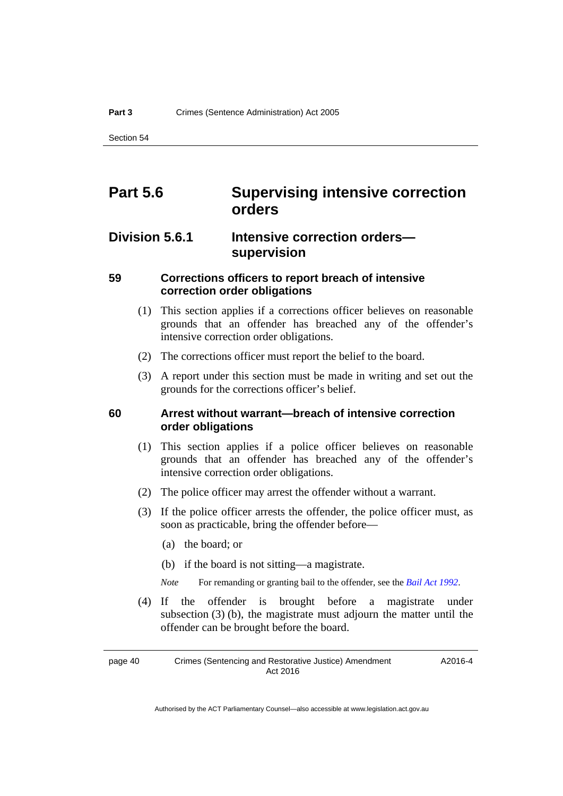# **Part 5.6 Supervising intensive correction orders**

# **Division 5.6.1 Intensive correction orders supervision**

# **59 Corrections officers to report breach of intensive correction order obligations**

- (1) This section applies if a corrections officer believes on reasonable grounds that an offender has breached any of the offender's intensive correction order obligations.
- (2) The corrections officer must report the belief to the board.
- (3) A report under this section must be made in writing and set out the grounds for the corrections officer's belief.

# **60 Arrest without warrant—breach of intensive correction order obligations**

- (1) This section applies if a police officer believes on reasonable grounds that an offender has breached any of the offender's intensive correction order obligations.
- (2) The police officer may arrest the offender without a warrant.
- (3) If the police officer arrests the offender, the police officer must, as soon as practicable, bring the offender before—
	- (a) the board; or
	- (b) if the board is not sitting—a magistrate.

*Note* For remanding or granting bail to the offender, see the *[Bail Act 1992](http://www.legislation.act.gov.au/a/1992-8)*.

 (4) If the offender is brought before a magistrate under subsection (3) (b), the magistrate must adjourn the matter until the offender can be brought before the board.

page 40 Crimes (Sentencing and Restorative Justice) Amendment Act 2016 A2016-4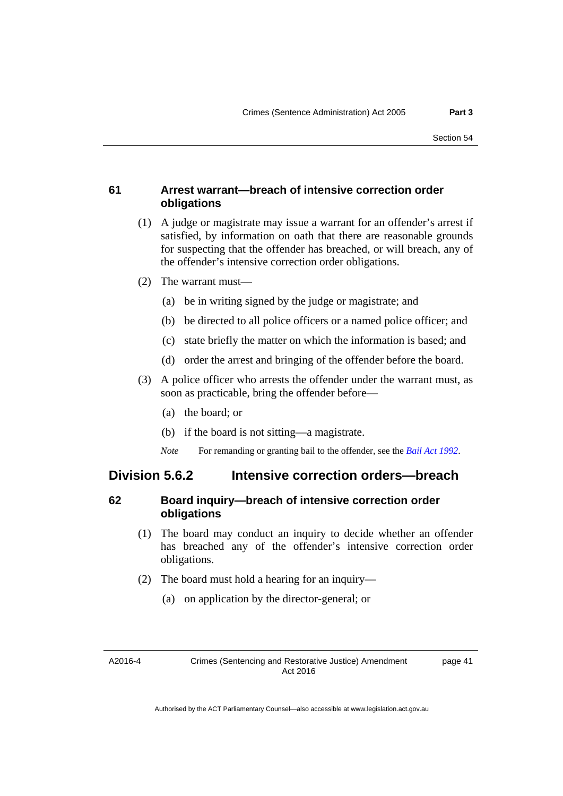# **61 Arrest warrant—breach of intensive correction order obligations**

- (1) A judge or magistrate may issue a warrant for an offender's arrest if satisfied, by information on oath that there are reasonable grounds for suspecting that the offender has breached, or will breach, any of the offender's intensive correction order obligations.
- (2) The warrant must—
	- (a) be in writing signed by the judge or magistrate; and
	- (b) be directed to all police officers or a named police officer; and
	- (c) state briefly the matter on which the information is based; and
	- (d) order the arrest and bringing of the offender before the board.
- (3) A police officer who arrests the offender under the warrant must, as soon as practicable, bring the offender before—
	- (a) the board; or
	- (b) if the board is not sitting—a magistrate.
	- *Note* For remanding or granting bail to the offender, see the *[Bail Act 1992](http://www.legislation.act.gov.au/a/1992-8)*.

# **Division 5.6.2 Intensive correction orders—breach**

# **62 Board inquiry—breach of intensive correction order obligations**

- (1) The board may conduct an inquiry to decide whether an offender has breached any of the offender's intensive correction order obligations.
- (2) The board must hold a hearing for an inquiry—
	- (a) on application by the director-general; or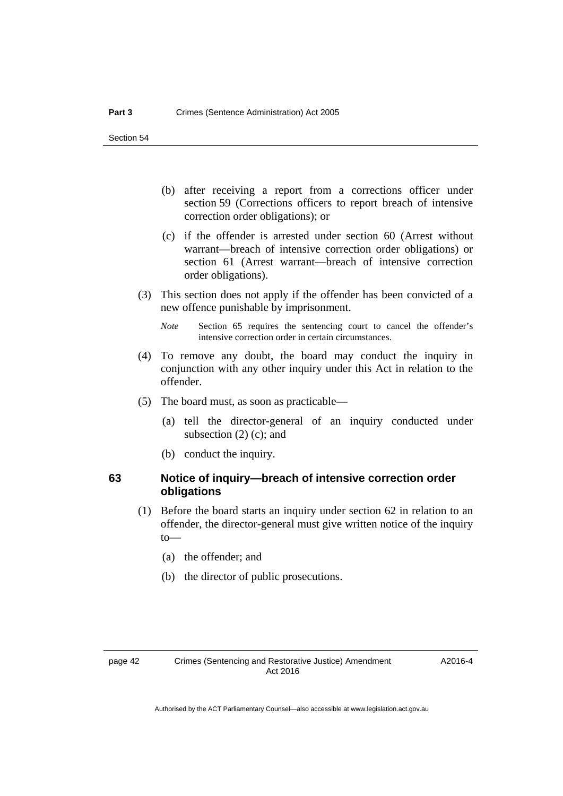- (b) after receiving a report from a corrections officer under section 59 (Corrections officers to report breach of intensive correction order obligations); or
- (c) if the offender is arrested under section 60 (Arrest without warrant—breach of intensive correction order obligations) or section 61 (Arrest warrant—breach of intensive correction order obligations).
- (3) This section does not apply if the offender has been convicted of a new offence punishable by imprisonment.
	- *Note* Section 65 requires the sentencing court to cancel the offender's intensive correction order in certain circumstances.
- (4) To remove any doubt, the board may conduct the inquiry in conjunction with any other inquiry under this Act in relation to the offender.
- (5) The board must, as soon as practicable—
	- (a) tell the director-general of an inquiry conducted under subsection (2) (c); and
	- (b) conduct the inquiry.

# **63 Notice of inquiry—breach of intensive correction order obligations**

- (1) Before the board starts an inquiry under section 62 in relation to an offender, the director-general must give written notice of the inquiry to—
	- (a) the offender; and
	- (b) the director of public prosecutions.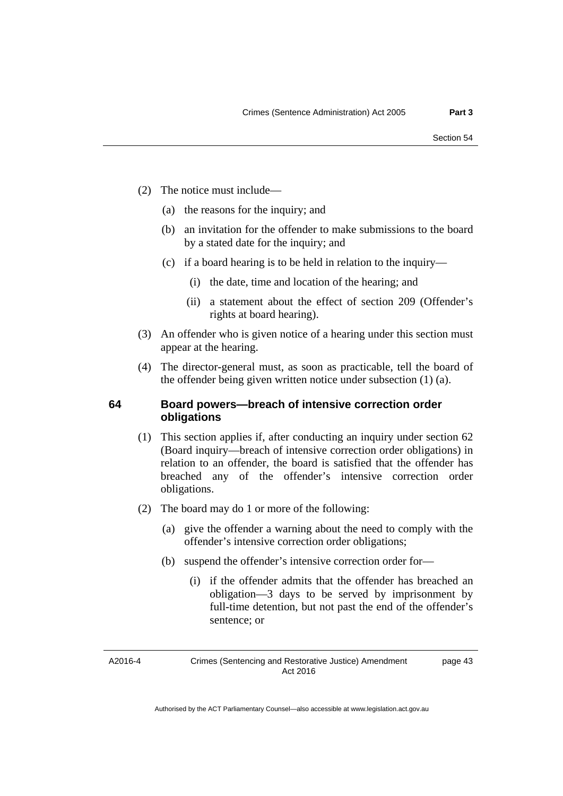- (2) The notice must include—
	- (a) the reasons for the inquiry; and
	- (b) an invitation for the offender to make submissions to the board by a stated date for the inquiry; and
	- (c) if a board hearing is to be held in relation to the inquiry—
		- (i) the date, time and location of the hearing; and
		- (ii) a statement about the effect of section 209 (Offender's rights at board hearing).
- (3) An offender who is given notice of a hearing under this section must appear at the hearing.
- (4) The director-general must, as soon as practicable, tell the board of the offender being given written notice under subsection (1) (a).

# **64 Board powers—breach of intensive correction order obligations**

- (1) This section applies if, after conducting an inquiry under section 62 (Board inquiry—breach of intensive correction order obligations) in relation to an offender, the board is satisfied that the offender has breached any of the offender's intensive correction order obligations.
- (2) The board may do 1 or more of the following:
	- (a) give the offender a warning about the need to comply with the offender's intensive correction order obligations;
	- (b) suspend the offender's intensive correction order for—
		- (i) if the offender admits that the offender has breached an obligation—3 days to be served by imprisonment by full-time detention, but not past the end of the offender's sentence; or

A2016-4

page 43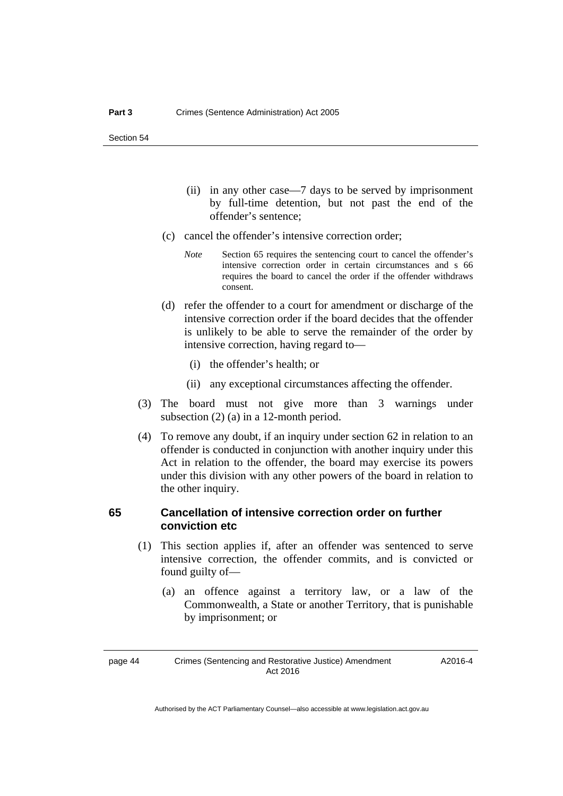- (ii) in any other case—7 days to be served by imprisonment by full-time detention, but not past the end of the offender's sentence;
- (c) cancel the offender's intensive correction order;
	- *Note* Section 65 requires the sentencing court to cancel the offender's intensive correction order in certain circumstances and s 66 requires the board to cancel the order if the offender withdraws consent.
- (d) refer the offender to a court for amendment or discharge of the intensive correction order if the board decides that the offender is unlikely to be able to serve the remainder of the order by intensive correction, having regard to—
	- (i) the offender's health; or
	- (ii) any exceptional circumstances affecting the offender.
- (3) The board must not give more than 3 warnings under subsection (2) (a) in a 12-month period.
- (4) To remove any doubt, if an inquiry under section 62 in relation to an offender is conducted in conjunction with another inquiry under this Act in relation to the offender, the board may exercise its powers under this division with any other powers of the board in relation to the other inquiry.

# **65 Cancellation of intensive correction order on further conviction etc**

- (1) This section applies if, after an offender was sentenced to serve intensive correction, the offender commits, and is convicted or found guilty of—
	- (a) an offence against a territory law, or a law of the Commonwealth, a State or another Territory, that is punishable by imprisonment; or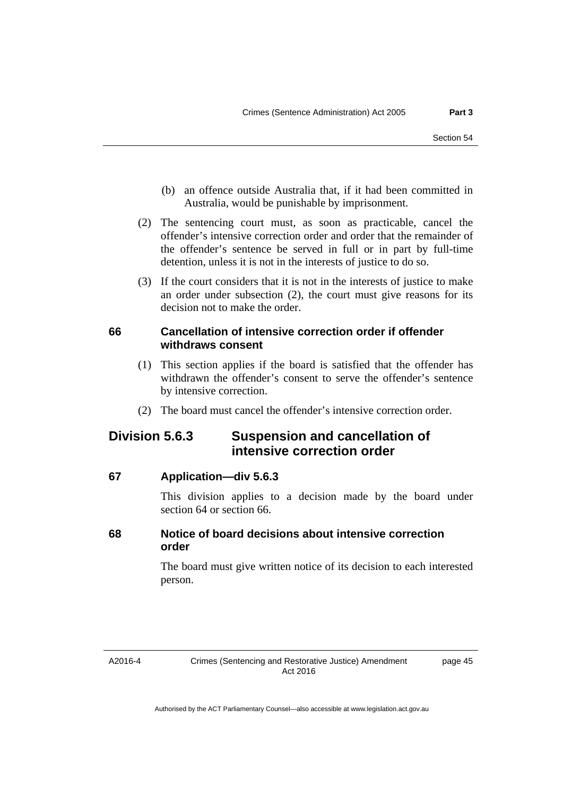- (b) an offence outside Australia that, if it had been committed in Australia, would be punishable by imprisonment.
- (2) The sentencing court must, as soon as practicable, cancel the offender's intensive correction order and order that the remainder of the offender's sentence be served in full or in part by full-time detention, unless it is not in the interests of justice to do so.
- (3) If the court considers that it is not in the interests of justice to make an order under subsection (2), the court must give reasons for its decision not to make the order.

# **66 Cancellation of intensive correction order if offender withdraws consent**

- (1) This section applies if the board is satisfied that the offender has withdrawn the offender's consent to serve the offender's sentence by intensive correction.
- (2) The board must cancel the offender's intensive correction order.

# **Division 5.6.3 Suspension and cancellation of intensive correction order**

# **67 Application—div 5.6.3**

This division applies to a decision made by the board under section 64 or section 66.

# **68 Notice of board decisions about intensive correction order**

The board must give written notice of its decision to each interested person.

A2016-4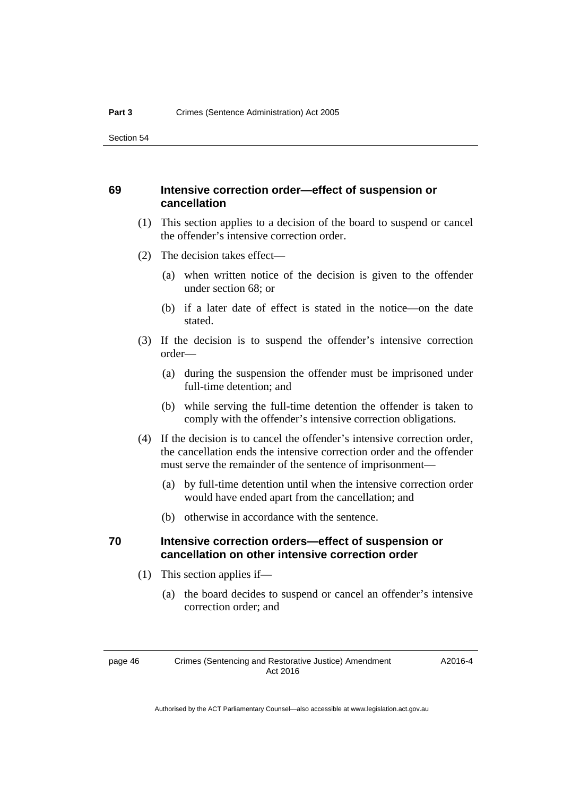### **69 Intensive correction order—effect of suspension or cancellation**

- (1) This section applies to a decision of the board to suspend or cancel the offender's intensive correction order.
- (2) The decision takes effect—
	- (a) when written notice of the decision is given to the offender under section 68; or
	- (b) if a later date of effect is stated in the notice—on the date stated.
- (3) If the decision is to suspend the offender's intensive correction order—
	- (a) during the suspension the offender must be imprisoned under full-time detention; and
	- (b) while serving the full-time detention the offender is taken to comply with the offender's intensive correction obligations.
- (4) If the decision is to cancel the offender's intensive correction order, the cancellation ends the intensive correction order and the offender must serve the remainder of the sentence of imprisonment—
	- (a) by full-time detention until when the intensive correction order would have ended apart from the cancellation; and
	- (b) otherwise in accordance with the sentence.

## **70 Intensive correction orders—effect of suspension or cancellation on other intensive correction order**

- (1) This section applies if—
	- (a) the board decides to suspend or cancel an offender's intensive correction order; and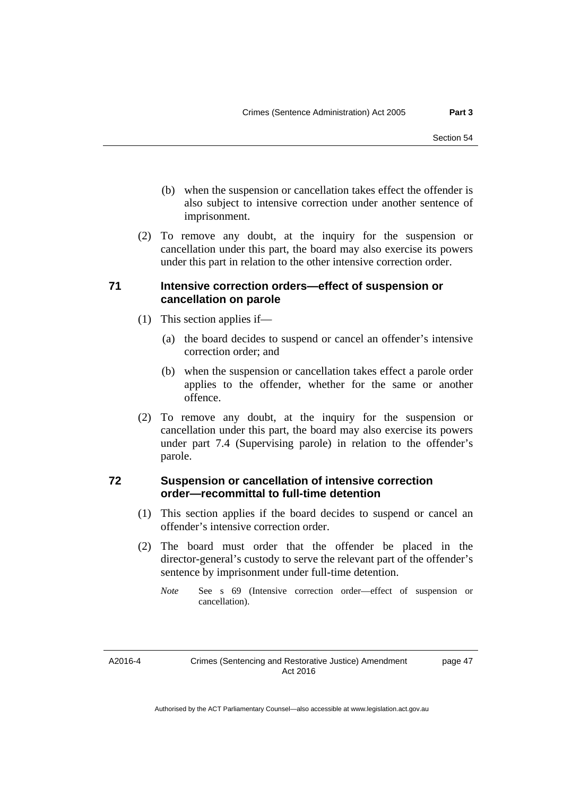- (b) when the suspension or cancellation takes effect the offender is also subject to intensive correction under another sentence of imprisonment.
- (2) To remove any doubt, at the inquiry for the suspension or cancellation under this part, the board may also exercise its powers under this part in relation to the other intensive correction order.

# **71 Intensive correction orders—effect of suspension or cancellation on parole**

- (1) This section applies if—
	- (a) the board decides to suspend or cancel an offender's intensive correction order; and
	- (b) when the suspension or cancellation takes effect a parole order applies to the offender, whether for the same or another offence.
- (2) To remove any doubt, at the inquiry for the suspension or cancellation under this part, the board may also exercise its powers under part 7.4 (Supervising parole) in relation to the offender's parole.

# **72 Suspension or cancellation of intensive correction order—recommittal to full-time detention**

- (1) This section applies if the board decides to suspend or cancel an offender's intensive correction order.
- (2) The board must order that the offender be placed in the director-general's custody to serve the relevant part of the offender's sentence by imprisonment under full-time detention.

*Note* See s 69 (Intensive correction order—effect of suspension or cancellation).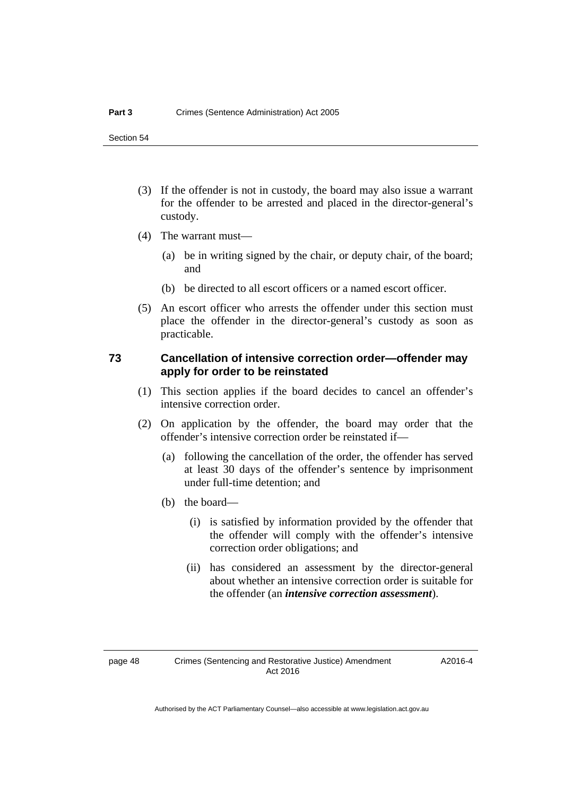- (3) If the offender is not in custody, the board may also issue a warrant for the offender to be arrested and placed in the director-general's custody.
- (4) The warrant must—
	- (a) be in writing signed by the chair, or deputy chair, of the board; and
	- (b) be directed to all escort officers or a named escort officer.
- (5) An escort officer who arrests the offender under this section must place the offender in the director-general's custody as soon as practicable.

# **73 Cancellation of intensive correction order—offender may apply for order to be reinstated**

- (1) This section applies if the board decides to cancel an offender's intensive correction order.
- (2) On application by the offender, the board may order that the offender's intensive correction order be reinstated if—
	- (a) following the cancellation of the order, the offender has served at least 30 days of the offender's sentence by imprisonment under full-time detention; and
	- (b) the board—
		- (i) is satisfied by information provided by the offender that the offender will comply with the offender's intensive correction order obligations; and
		- (ii) has considered an assessment by the director-general about whether an intensive correction order is suitable for the offender (an *intensive correction assessment*).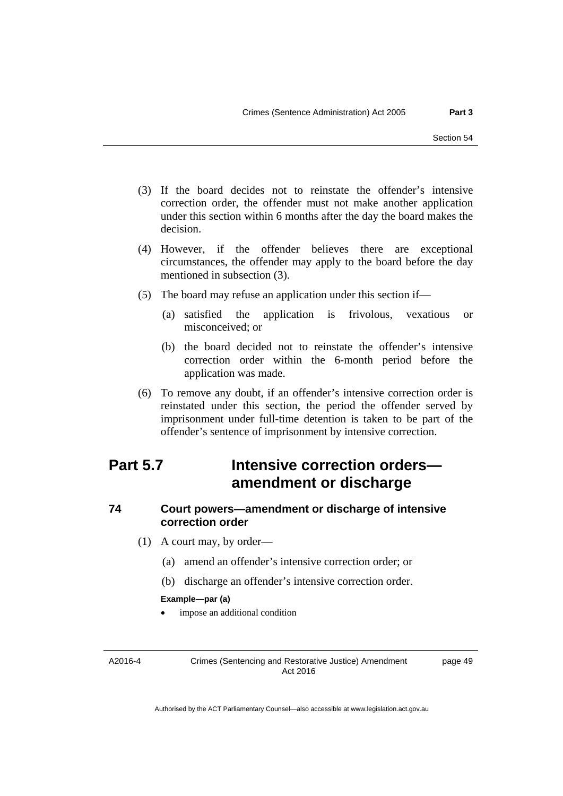- (3) If the board decides not to reinstate the offender's intensive correction order, the offender must not make another application under this section within 6 months after the day the board makes the decision.
- (4) However, if the offender believes there are exceptional circumstances, the offender may apply to the board before the day mentioned in subsection (3).
- (5) The board may refuse an application under this section if—
	- (a) satisfied the application is frivolous, vexatious or misconceived; or
	- (b) the board decided not to reinstate the offender's intensive correction order within the 6-month period before the application was made.
- (6) To remove any doubt, if an offender's intensive correction order is reinstated under this section, the period the offender served by imprisonment under full-time detention is taken to be part of the offender's sentence of imprisonment by intensive correction.

# **Part 5.7 Intensive correction orders amendment or discharge**

# **74 Court powers—amendment or discharge of intensive correction order**

- (1) A court may, by order—
	- (a) amend an offender's intensive correction order; or
	- (b) discharge an offender's intensive correction order.

#### **Example—par (a)**

impose an additional condition

A2016-4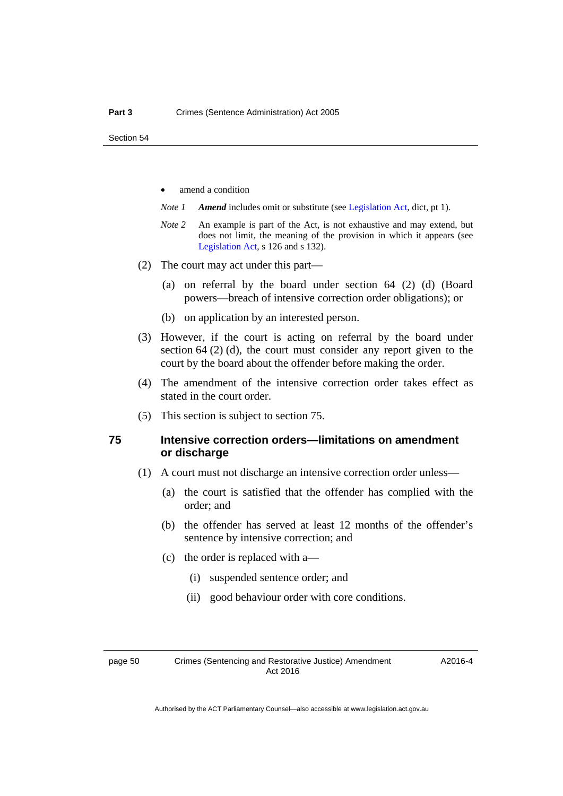- amend a condition
- *Note 1 Amend* includes omit or substitute (see [Legislation Act,](http://www.legislation.act.gov.au/a/2001-14) dict, pt 1).
- *Note 2* An example is part of the Act, is not exhaustive and may extend, but does not limit, the meaning of the provision in which it appears (see [Legislation Act,](http://www.legislation.act.gov.au/a/2001-14) s 126 and s 132).
- (2) The court may act under this part—
	- (a) on referral by the board under section 64 (2) (d) (Board powers—breach of intensive correction order obligations); or
	- (b) on application by an interested person.
- (3) However, if the court is acting on referral by the board under section 64 (2) (d), the court must consider any report given to the court by the board about the offender before making the order.
- (4) The amendment of the intensive correction order takes effect as stated in the court order.
- (5) This section is subject to section 75.

# **75 Intensive correction orders—limitations on amendment or discharge**

- (1) A court must not discharge an intensive correction order unless—
	- (a) the court is satisfied that the offender has complied with the order; and
	- (b) the offender has served at least 12 months of the offender's sentence by intensive correction; and
	- (c) the order is replaced with a—
		- (i) suspended sentence order; and
		- (ii) good behaviour order with core conditions.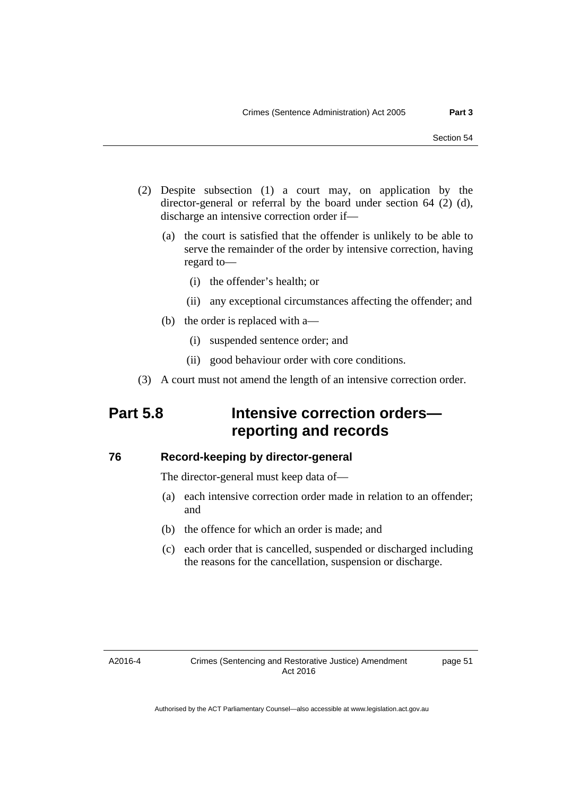- (2) Despite subsection (1) a court may, on application by the director-general or referral by the board under section 64 (2) (d), discharge an intensive correction order if—
	- (a) the court is satisfied that the offender is unlikely to be able to serve the remainder of the order by intensive correction, having regard to—
		- (i) the offender's health; or
		- (ii) any exceptional circumstances affecting the offender; and
	- (b) the order is replaced with a—
		- (i) suspended sentence order; and
		- (ii) good behaviour order with core conditions.
- (3) A court must not amend the length of an intensive correction order.

# **Part 5.8 Intensive correction orders reporting and records**

#### **76 Record-keeping by director-general**

The director-general must keep data of—

- (a) each intensive correction order made in relation to an offender; and
- (b) the offence for which an order is made; and
- (c) each order that is cancelled, suspended or discharged including the reasons for the cancellation, suspension or discharge.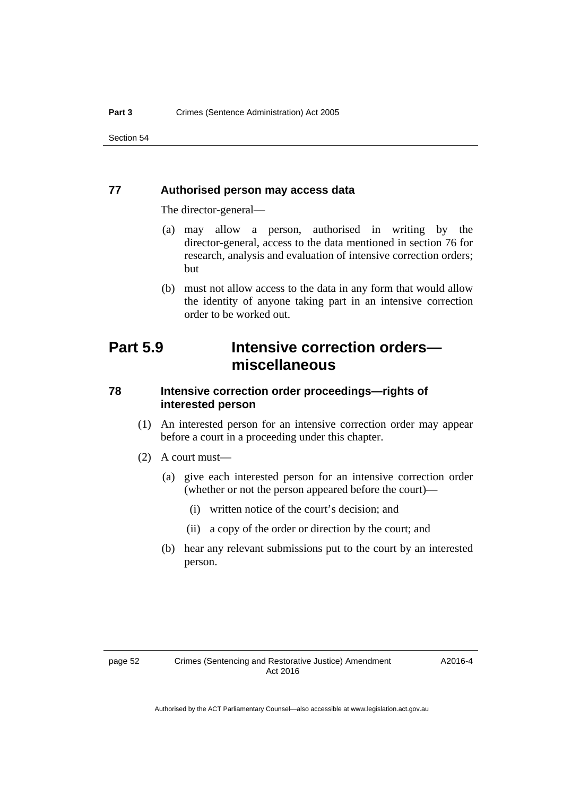### **77 Authorised person may access data**

The director-general—

- (a) may allow a person, authorised in writing by the director-general, access to the data mentioned in section 76 for research, analysis and evaluation of intensive correction orders; but
- (b) must not allow access to the data in any form that would allow the identity of anyone taking part in an intensive correction order to be worked out.

# **Part 5.9 Intensive correction orders miscellaneous**

# **78 Intensive correction order proceedings—rights of interested person**

- (1) An interested person for an intensive correction order may appear before a court in a proceeding under this chapter.
- (2) A court must—
	- (a) give each interested person for an intensive correction order (whether or not the person appeared before the court)—
		- (i) written notice of the court's decision; and
		- (ii) a copy of the order or direction by the court; and
	- (b) hear any relevant submissions put to the court by an interested person.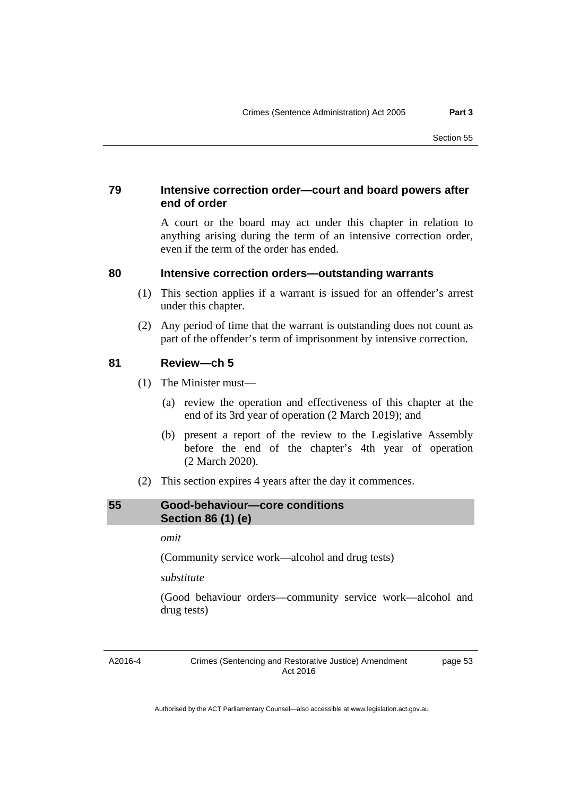# **79 Intensive correction order—court and board powers after end of order**

A court or the board may act under this chapter in relation to anything arising during the term of an intensive correction order, even if the term of the order has ended.

### **80 Intensive correction orders—outstanding warrants**

- (1) This section applies if a warrant is issued for an offender's arrest under this chapter.
- (2) Any period of time that the warrant is outstanding does not count as part of the offender's term of imprisonment by intensive correction.

## **81 Review—ch 5**

- (1) The Minister must—
	- (a) review the operation and effectiveness of this chapter at the end of its 3rd year of operation (2 March 2019); and
	- (b) present a report of the review to the Legislative Assembly before the end of the chapter's 4th year of operation (2 March 2020).
- (2) This section expires 4 years after the day it commences.

# **55 Good-behaviour—core conditions Section 86 (1) (e)**

### *omit*

(Community service work—alcohol and drug tests)

## *substitute*

(Good behaviour orders—community service work—alcohol and drug tests)

A2016-4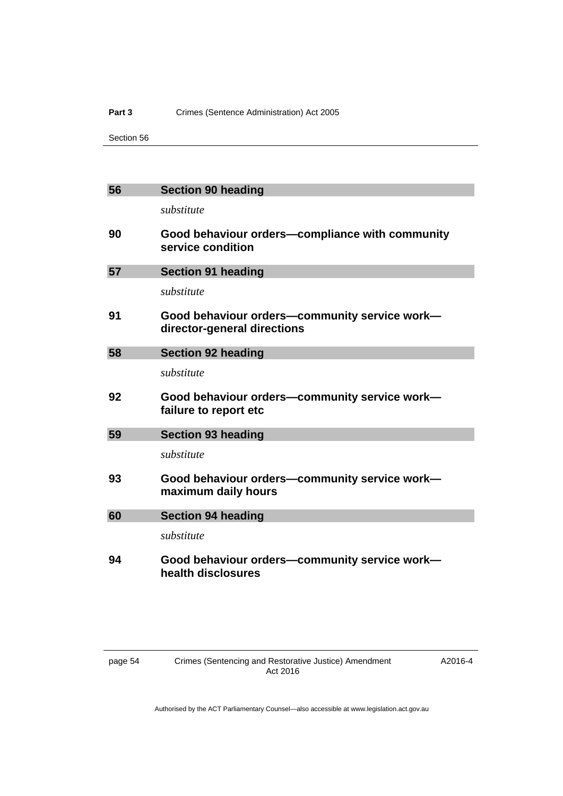#### Part 3 **Crimes (Sentence Administration) Act 2005**

Section 56

| 56 | <b>Section 90 heading</b>                                                    |
|----|------------------------------------------------------------------------------|
|    | substitute                                                                   |
| 90 | Good behaviour orders-compliance with community<br>service condition         |
| 57 | <b>Section 91 heading</b>                                                    |
|    | substitute                                                                   |
| 91 | Good behaviour orders-community service work-<br>director-general directions |
| 58 | <b>Section 92 heading</b>                                                    |
|    | substitute                                                                   |
| 92 | Good behaviour orders-community service work-<br>failure to report etc       |
| 59 | <b>Section 93 heading</b>                                                    |
|    | substitute                                                                   |
| 93 | Good behaviour orders-community service work-<br>maximum daily hours         |
| 60 | <b>Section 94 heading</b>                                                    |
|    | substitute                                                                   |
| 94 | Good behaviour orders-community service work-<br>health disclosures          |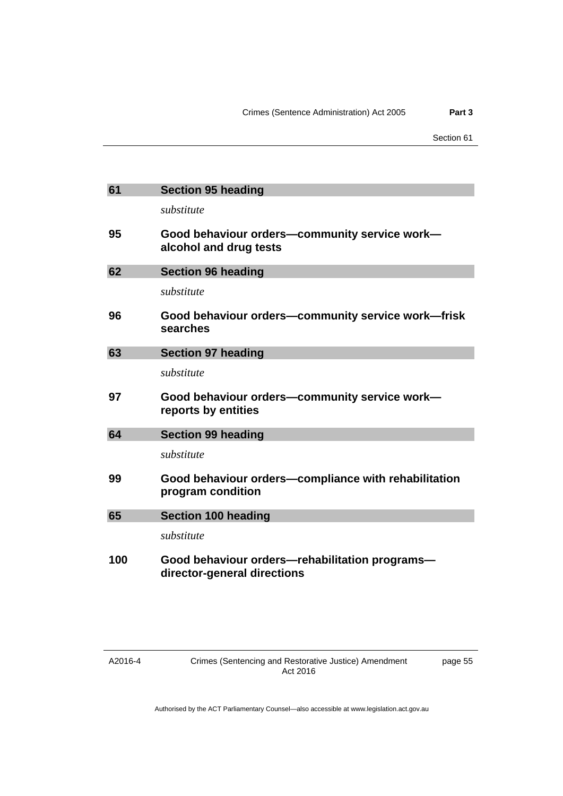| 61  | <b>Section 95 heading</b>                                                     |
|-----|-------------------------------------------------------------------------------|
|     | substitute                                                                    |
| 95  | Good behaviour orders-community service work-<br>alcohol and drug tests       |
| 62  | <b>Section 96 heading</b>                                                     |
|     | substitute                                                                    |
| 96  | Good behaviour orders-community service work-frisk<br>searches                |
| 63  | <b>Section 97 heading</b>                                                     |
|     | substitute                                                                    |
| 97  | Good behaviour orders-community service work-<br>reports by entities          |
| 64  | <b>Section 99 heading</b>                                                     |
|     | substitute                                                                    |
| 99  | Good behaviour orders—compliance with rehabilitation<br>program condition     |
| 65  | <b>Section 100 heading</b>                                                    |
|     | substitute                                                                    |
| 100 | Good behaviour orders-rehabilitation programs-<br>director-general directions |

page 55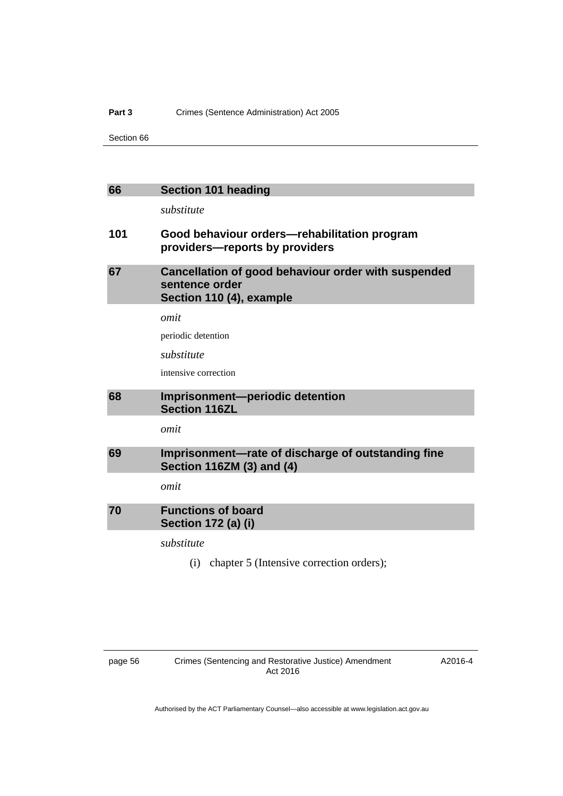#### Part 3 **Crimes (Sentence Administration) Act 2005**

Section 66

| 66  | <b>Section 101 heading</b>                                                                        |
|-----|---------------------------------------------------------------------------------------------------|
|     | substitute                                                                                        |
| 101 | Good behaviour orders-rehabilitation program<br>providers—reports by providers                    |
| 67  | Cancellation of good behaviour order with suspended<br>sentence order<br>Section 110 (4), example |
|     | omit                                                                                              |
|     | periodic detention                                                                                |
|     | substitute                                                                                        |
|     | intensive correction                                                                              |
|     |                                                                                                   |
| 68  | Imprisonment-periodic detention<br><b>Section 116ZL</b>                                           |
|     | omit                                                                                              |
| 69  | Imprisonment-rate of discharge of outstanding fine<br><b>Section 116ZM (3) and (4)</b>            |
|     | omit                                                                                              |
| 70  | <b>Functions of board</b><br><b>Section 172 (a) (i)</b>                                           |
|     | substitute                                                                                        |

A2016-4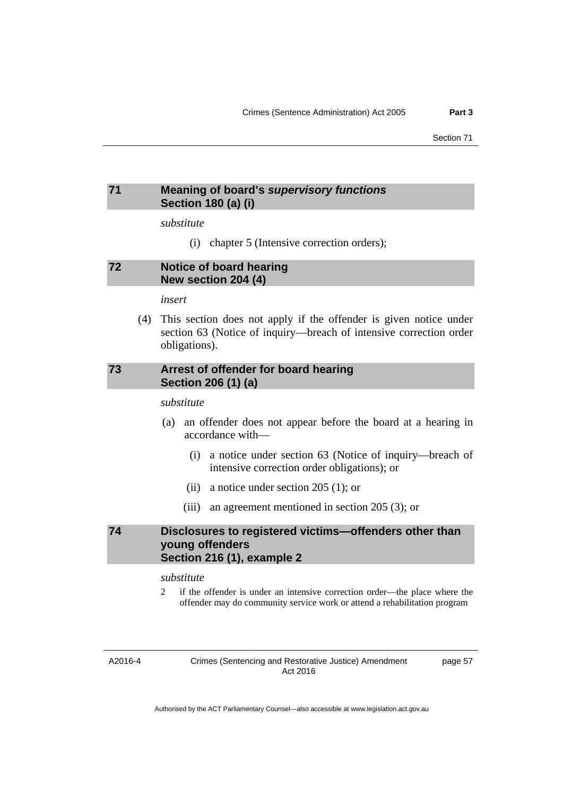# **71 Meaning of board's** *supervisory functions* **Section 180 (a) (i)**

*substitute* 

(i) chapter 5 (Intensive correction orders);

### **72 Notice of board hearing New section 204 (4)**

*insert* 

 (4) This section does not apply if the offender is given notice under section 63 (Notice of inquiry—breach of intensive correction order obligations).

# **73 Arrest of offender for board hearing Section 206 (1) (a)**

*substitute* 

- (a) an offender does not appear before the board at a hearing in accordance with—
	- (i) a notice under section 63 (Notice of inquiry—breach of intensive correction order obligations); or
	- (ii) a notice under section 205 (1); or
	- (iii) an agreement mentioned in section 205 (3); or

# **74 Disclosures to registered victims—offenders other than young offenders Section 216 (1), example 2**

*substitute* 

2 if the offender is under an intensive correction order—the place where the offender may do community service work or attend a rehabilitation program

A2016-4

Crimes (Sentencing and Restorative Justice) Amendment Act 2016

page 57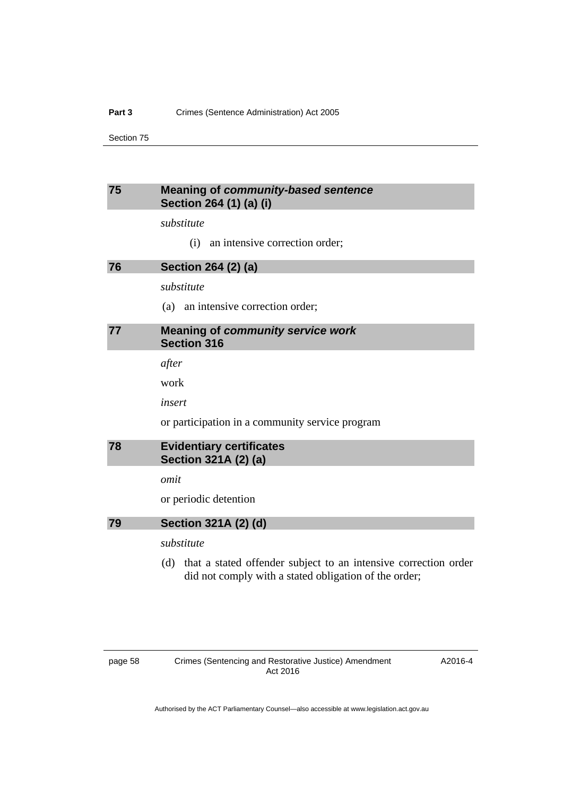# **75 Meaning of** *community-based sentence* **Section 264 (1) (a) (i)**

*substitute* 

(i) an intensive correction order;

**76 Section 264 (2) (a)** 

*substitute* 

(a) an intensive correction order;

### **77 Meaning of** *community service work* **Section 316**

*after* 

work

*insert* 

or participation in a community service program

| 78 | <b>Evidentiary certificates</b> |
|----|---------------------------------|
|    | Section 321A (2) (a)            |

*omit* 

or periodic detention

**79 Section 321A (2) (d)** 

*substitute* 

 (d) that a stated offender subject to an intensive correction order did not comply with a stated obligation of the order;

A2016-4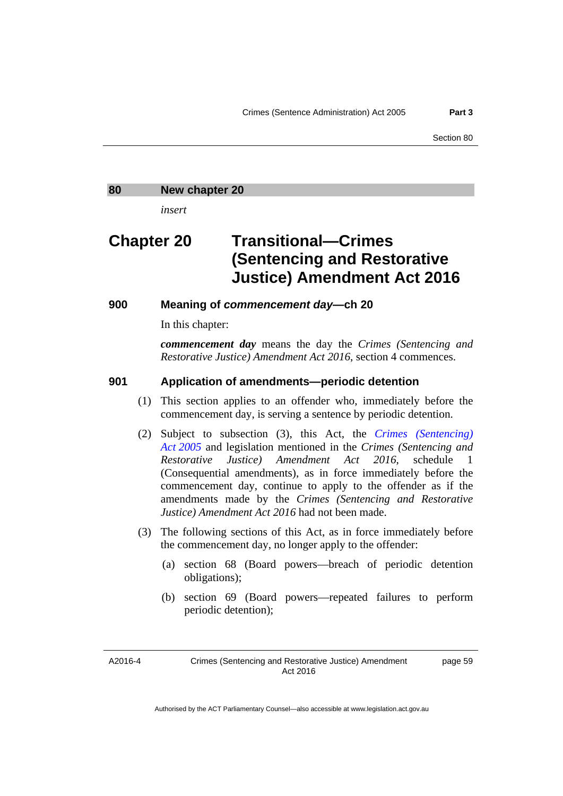#### **80 New chapter 20**

*insert* 

# **Chapter 20 Transitional—Crimes (Sentencing and Restorative Justice) Amendment Act 2016**

**900 Meaning of** *commencement day***—ch 20** 

In this chapter:

*commencement day* means the day the *Crimes (Sentencing and Restorative Justice) Amendment Act 2016*, section 4 commences.

## **901 Application of amendments—periodic detention**

- (1) This section applies to an offender who, immediately before the commencement day, is serving a sentence by periodic detention.
- (2) Subject to subsection (3), this Act, the *[Crimes \(Sentencing\)](http://www.legislation.act.gov.au/a/2005-58)  [Act 2005](http://www.legislation.act.gov.au/a/2005-58)* and legislation mentioned in the *Crimes (Sentencing and Restorative Justice) Amendment Act 2016*, schedule 1 (Consequential amendments), as in force immediately before the commencement day, continue to apply to the offender as if the amendments made by the *Crimes (Sentencing and Restorative Justice) Amendment Act 2016* had not been made.
- (3) The following sections of this Act, as in force immediately before the commencement day, no longer apply to the offender:
	- (a) section 68 (Board powers—breach of periodic detention obligations);
	- (b) section 69 (Board powers—repeated failures to perform periodic detention);

A2016-4

page 59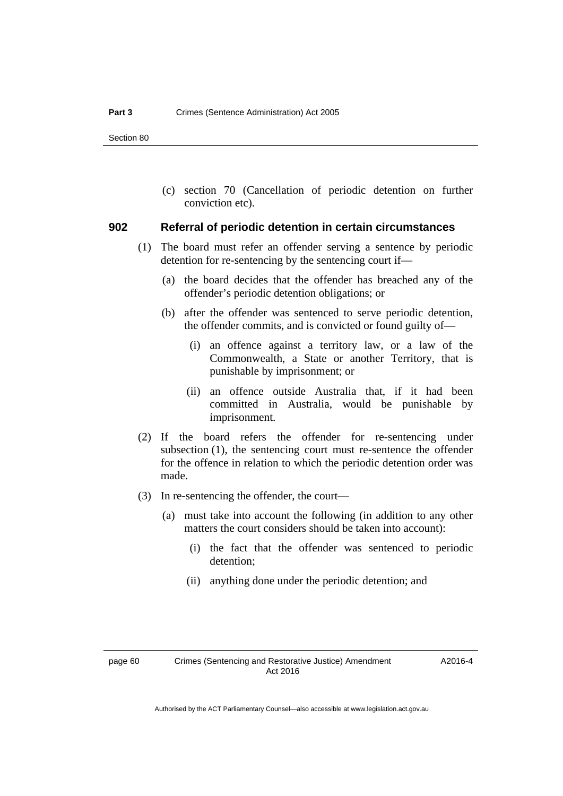(c) section 70 (Cancellation of periodic detention on further conviction etc).

#### **902 Referral of periodic detention in certain circumstances**

- (1) The board must refer an offender serving a sentence by periodic detention for re-sentencing by the sentencing court if—
	- (a) the board decides that the offender has breached any of the offender's periodic detention obligations; or
	- (b) after the offender was sentenced to serve periodic detention, the offender commits, and is convicted or found guilty of—
		- (i) an offence against a territory law, or a law of the Commonwealth, a State or another Territory, that is punishable by imprisonment; or
		- (ii) an offence outside Australia that, if it had been committed in Australia, would be punishable by imprisonment.
- (2) If the board refers the offender for re-sentencing under subsection (1), the sentencing court must re-sentence the offender for the offence in relation to which the periodic detention order was made.
- (3) In re-sentencing the offender, the court—
	- (a) must take into account the following (in addition to any other matters the court considers should be taken into account):
		- (i) the fact that the offender was sentenced to periodic detention;
		- (ii) anything done under the periodic detention; and

A2016-4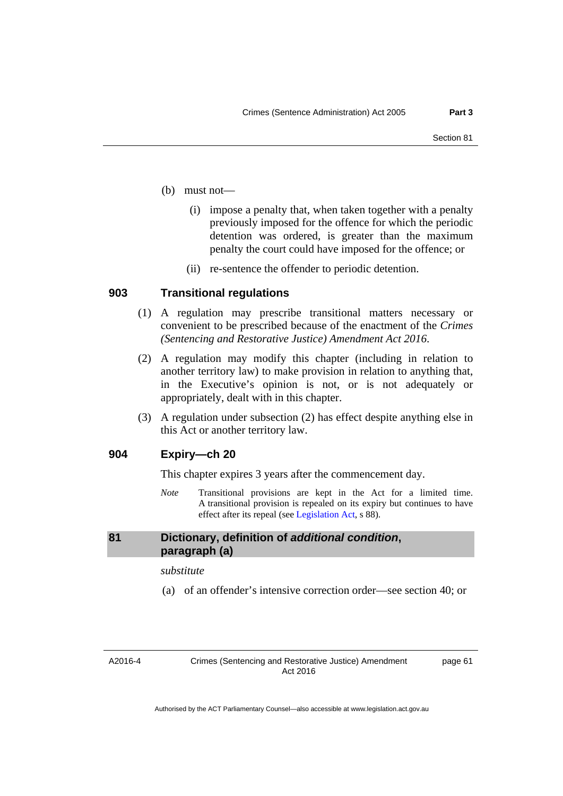- (b) must not—
	- (i) impose a penalty that, when taken together with a penalty previously imposed for the offence for which the periodic detention was ordered, is greater than the maximum penalty the court could have imposed for the offence; or
	- (ii) re-sentence the offender to periodic detention.

### **903 Transitional regulations**

- (1) A regulation may prescribe transitional matters necessary or convenient to be prescribed because of the enactment of the *Crimes (Sentencing and Restorative Justice) Amendment Act 2016*.
- (2) A regulation may modify this chapter (including in relation to another territory law) to make provision in relation to anything that, in the Executive's opinion is not, or is not adequately or appropriately, dealt with in this chapter.
- (3) A regulation under subsection (2) has effect despite anything else in this Act or another territory law.

# **904 Expiry—ch 20**

This chapter expires 3 years after the commencement day.

*Note* Transitional provisions are kept in the Act for a limited time. A transitional provision is repealed on its expiry but continues to have effect after its repeal (see [Legislation Act,](http://www.legislation.act.gov.au/a/2001-14) s 88).

## **81 Dictionary, definition of** *additional condition***, paragraph (a)**

#### *substitute*

(a) of an offender's intensive correction order—see section 40; or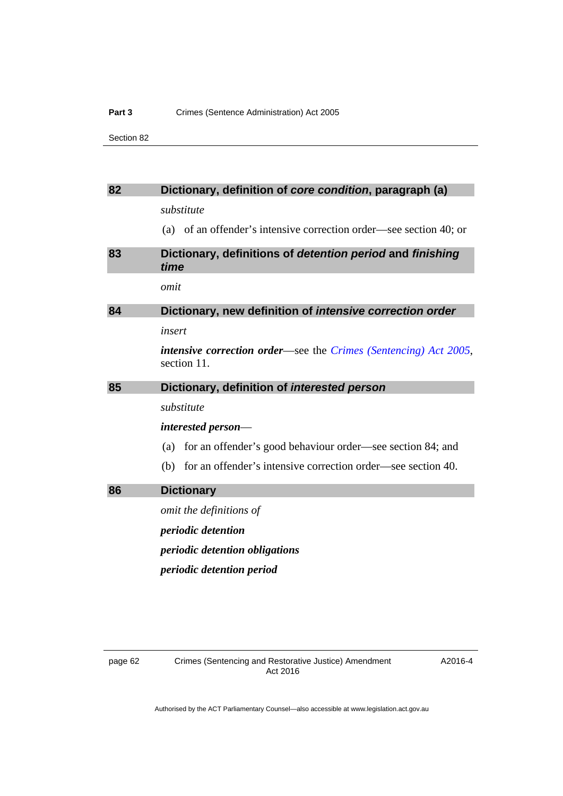#### Part 3 **Crimes (Sentence Administration) Act 2005**

Section 82

| 82 | Dictionary, definition of core condition, paragraph (a)                                |
|----|----------------------------------------------------------------------------------------|
|    | substitute                                                                             |
|    | (a) of an offender's intensive correction order—see section 40; or                     |
| 83 | Dictionary, definitions of detention period and finishing<br>time                      |
|    | omit                                                                                   |
| 84 | Dictionary, new definition of intensive correction order                               |
|    | insert                                                                                 |
|    | <i>intensive correction order—see the Crimes (Sentencing) Act 2005,</i><br>section 11. |
| 85 | Dictionary, definition of interested person                                            |
|    | substitute                                                                             |
|    | interested person—                                                                     |
|    | for an offender's good behaviour order—see section 84; and<br>(a)                      |
|    | for an offender's intensive correction order—see section 40.<br>(b)                    |
| 86 | <b>Dictionary</b>                                                                      |
|    | omit the definitions of                                                                |
|    | periodic detention                                                                     |
|    | <i>periodic detention obligations</i>                                                  |
|    | periodic detention period                                                              |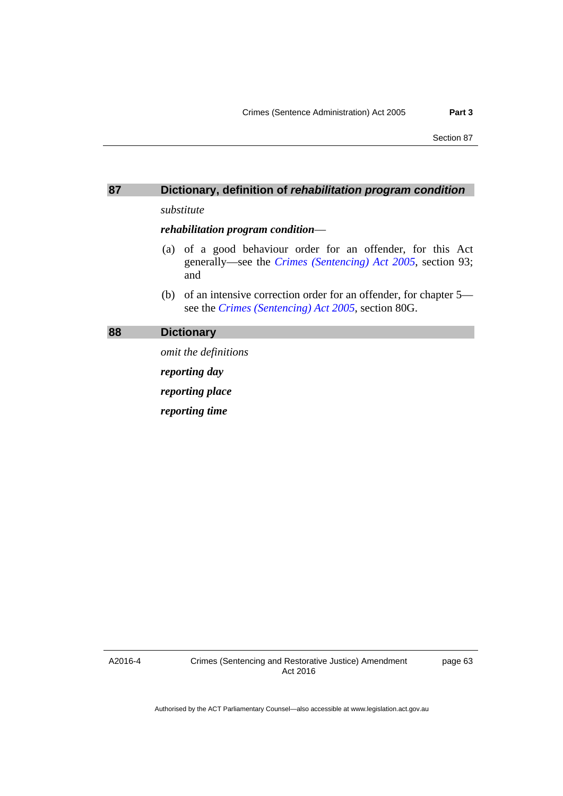# **87 Dictionary, definition of** *rehabilitation program condition*

*substitute* 

*rehabilitation program condition*—

- (a) of a good behaviour order for an offender, for this Act generally—see the *[Crimes \(Sentencing\) Act 2005](http://www.legislation.act.gov.au/a/2005-58)*, section 93; and
- (b) of an intensive correction order for an offender, for chapter 5 see the *[Crimes \(Sentencing\) Act 2005](http://www.legislation.act.gov.au/a/2005-58)*, section 80G.

## **88 Dictionary**

*omit the definitions reporting day reporting place reporting time* 

A2016-4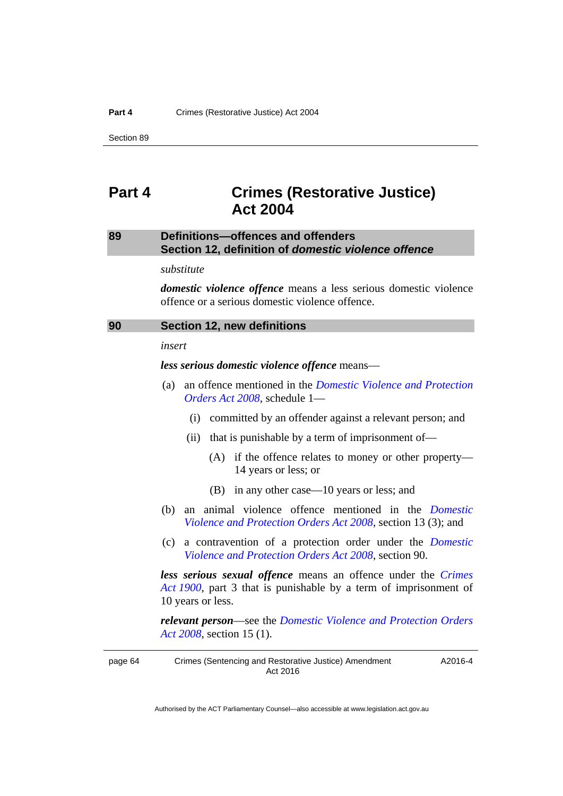# **Part 4 Crimes (Restorative Justice) Act 2004**

# **89 Definitions—offences and offenders Section 12, definition of** *domestic violence offence*

*substitute* 

*domestic violence offence* means a less serious domestic violence offence or a serious domestic violence offence.

| 90 | Section 12, new definitions |  |
|----|-----------------------------|--|
|----|-----------------------------|--|

*insert* 

*less serious domestic violence offence* means—

- (a) an offence mentioned in the *[Domestic Violence and Protection](http://www.legislation.act.gov.au/a/2008-46)  [Orders Act 2008](http://www.legislation.act.gov.au/a/2008-46)*, schedule 1—
	- (i) committed by an offender against a relevant person; and
	- (ii) that is punishable by a term of imprisonment of—
		- (A) if the offence relates to money or other property— 14 years or less; or
		- (B) in any other case—10 years or less; and
- (b) an animal violence offence mentioned in the *[Domestic](http://www.legislation.act.gov.au/a/2008-46)  [Violence and Protection Orders Act 2008](http://www.legislation.act.gov.au/a/2008-46)*, section 13 (3); and
- (c) a contravention of a protection order under the *[Domestic](http://www.legislation.act.gov.au/a/2008-46)  [Violence and Protection Orders Act 2008](http://www.legislation.act.gov.au/a/2008-46)*, section 90.

*less serious sexual offence* means an offence under the *[Crimes](http://www.legislation.act.gov.au/a/1900-40)  [Act 1900](http://www.legislation.act.gov.au/a/1900-40)*, part 3 that is punishable by a term of imprisonment of 10 years or less.

*relevant person*—see the *[Domestic Violence and Protection Orders](http://www.legislation.act.gov.au/a/2008-46)  [Act 2008](http://www.legislation.act.gov.au/a/2008-46)*, section 15 (1).

page 64 Crimes (Sentencing and Restorative Justice) Amendment Act 2016 A2016-4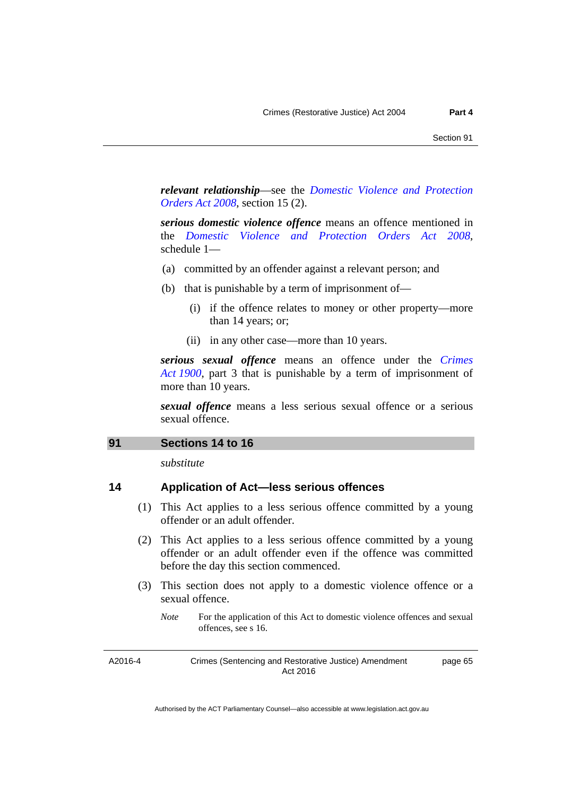*relevant relationship*—see the *[Domestic Violence and Protection](http://www.legislation.act.gov.au/a/2008-46)  [Orders Act 2008](http://www.legislation.act.gov.au/a/2008-46)*, section 15 (2).

*serious domestic violence offence* means an offence mentioned in the *[Domestic Violence and Protection Orders Act 2008](http://www.legislation.act.gov.au/a/2008-46)*, schedule 1—

- (a) committed by an offender against a relevant person; and
- (b) that is punishable by a term of imprisonment of—
	- (i) if the offence relates to money or other property—more than 14 years; or;
	- (ii) in any other case—more than 10 years.

*serious sexual offence* means an offence under the *[Crimes](http://www.legislation.act.gov.au/a/1900-40)  [Act 1900](http://www.legislation.act.gov.au/a/1900-40)*, part 3 that is punishable by a term of imprisonment of more than 10 years.

*sexual offence* means a less serious sexual offence or a serious sexual offence.

#### **91 Sections 14 to 16**

*substitute* 

# **14 Application of Act—less serious offences**

- (1) This Act applies to a less serious offence committed by a young offender or an adult offender.
- (2) This Act applies to a less serious offence committed by a young offender or an adult offender even if the offence was committed before the day this section commenced.
- (3) This section does not apply to a domestic violence offence or a sexual offence.
	- *Note* For the application of this Act to domestic violence offences and sexual offences, see s 16.

A2016-4

Crimes (Sentencing and Restorative Justice) Amendment Act 2016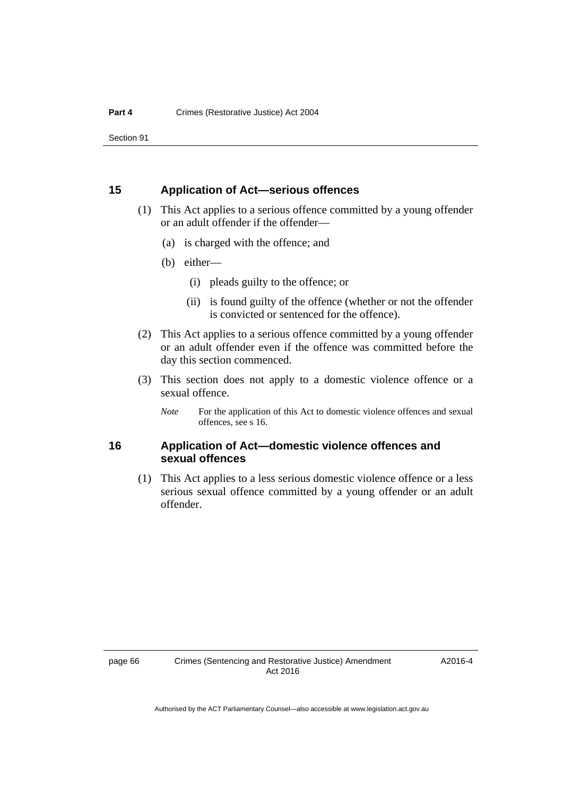# **15 Application of Act—serious offences**

- (1) This Act applies to a serious offence committed by a young offender or an adult offender if the offender—
	- (a) is charged with the offence; and
	- (b) either—
		- (i) pleads guilty to the offence; or
		- (ii) is found guilty of the offence (whether or not the offender is convicted or sentenced for the offence).
- (2) This Act applies to a serious offence committed by a young offender or an adult offender even if the offence was committed before the day this section commenced.
- (3) This section does not apply to a domestic violence offence or a sexual offence.
	- *Note* For the application of this Act to domestic violence offences and sexual offences, see s 16.

# **16 Application of Act—domestic violence offences and sexual offences**

 (1) This Act applies to a less serious domestic violence offence or a less serious sexual offence committed by a young offender or an adult offender.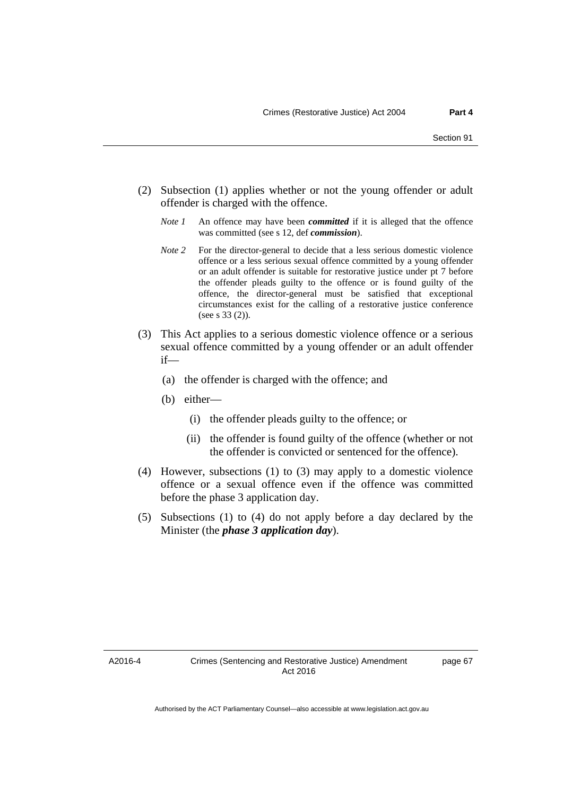- (2) Subsection (1) applies whether or not the young offender or adult offender is charged with the offence.
	- *Note 1* An offence may have been *committed* if it is alleged that the offence was committed (see s 12, def *commission*).
	- *Note* 2 For the director-general to decide that a less serious domestic violence offence or a less serious sexual offence committed by a young offender or an adult offender is suitable for restorative justice under pt 7 before the offender pleads guilty to the offence or is found guilty of the offence, the director-general must be satisfied that exceptional circumstances exist for the calling of a restorative justice conference (see s 33 (2)).
- (3) This Act applies to a serious domestic violence offence or a serious sexual offence committed by a young offender or an adult offender if—
	- (a) the offender is charged with the offence; and
	- (b) either—
		- (i) the offender pleads guilty to the offence; or
		- (ii) the offender is found guilty of the offence (whether or not the offender is convicted or sentenced for the offence).
- (4) However, subsections (1) to (3) may apply to a domestic violence offence or a sexual offence even if the offence was committed before the phase 3 application day.
- (5) Subsections (1) to (4) do not apply before a day declared by the Minister (the *phase 3 application day*).

A2016-4

page 67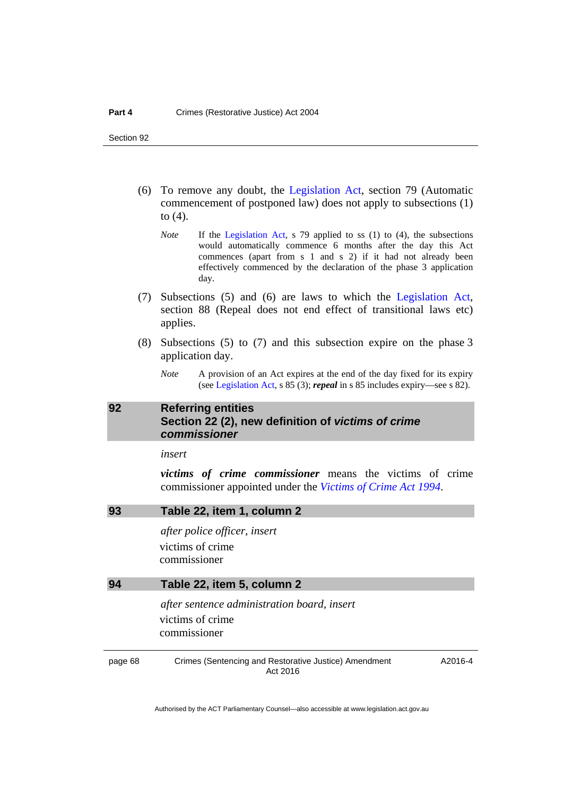- (6) To remove any doubt, the [Legislation Act](http://www.legislation.act.gov.au/a/2001-14), section 79 (Automatic commencement of postponed law) does not apply to subsections (1) to (4).
	- *Note* If the [Legislation Act,](http://www.legislation.act.gov.au/a/2001-14) s 79 applied to ss (1) to (4), the subsections would automatically commence 6 months after the day this Act commences (apart from s 1 and s 2) if it had not already been effectively commenced by the declaration of the phase 3 application day.
- (7) Subsections (5) and (6) are laws to which the [Legislation Act](http://www.legislation.act.gov.au/a/2001-14), section 88 (Repeal does not end effect of transitional laws etc) applies.
- (8) Subsections (5) to (7) and this subsection expire on the phase 3 application day.
	- *Note* A provision of an Act expires at the end of the day fixed for its expiry (see [Legislation Act,](http://www.legislation.act.gov.au/a/2001-14) s 85 (3); *repeal* in s 85 includes expiry—see s 82).

### **92 Referring entities Section 22 (2), new definition of** *victims of crime commissioner*

*insert* 

*victims of crime commissioner* means the victims of crime commissioner appointed under the *[Victims of Crime Act 1994](http://www.legislation.act.gov.au/a/1994-83)*.

### **93 Table 22, item 1, column 2**

*after police officer, insert*  victims of crime commissioner

#### **94 Table 22, item 5, column 2**

*after sentence administration board, insert*  victims of crime commissioner

page 68 Crimes (Sentencing and Restorative Justice) Amendment Act 2016

A2016-4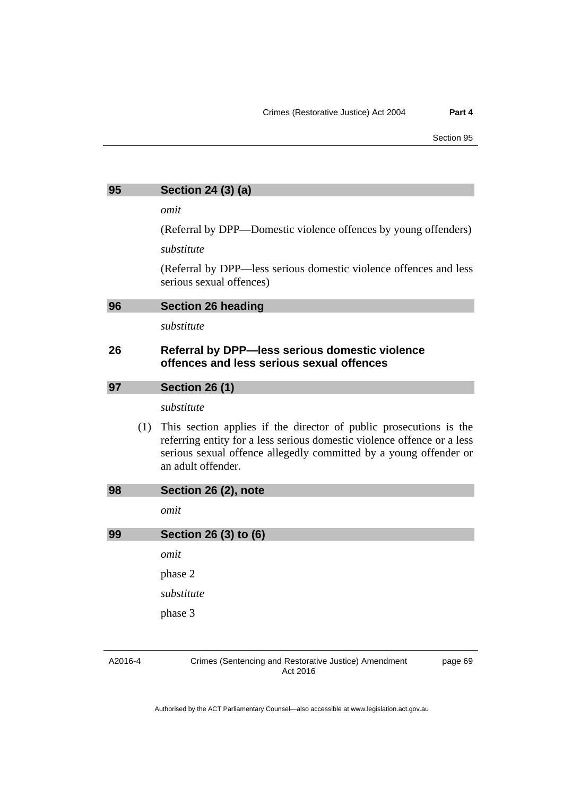| 95 | Section 24 (3) (a) |  |  |
|----|--------------------|--|--|
|    |                    |  |  |

*omit* 

(Referral by DPP—Domestic violence offences by young offenders)

*substitute* 

(Referral by DPP—less serious domestic violence offences and less serious sexual offences)

*substitute* 

### **26 Referral by DPP—less serious domestic violence offences and less serious sexual offences**

| 97 | <b>Section 26 (1)</b> |  |
|----|-----------------------|--|
|    |                       |  |

*substitute* 

 (1) This section applies if the director of public prosecutions is the referring entity for a less serious domestic violence offence or a less serious sexual offence allegedly committed by a young offender or an adult offender.

| 98 | Section 26 (2), note  |  |
|----|-----------------------|--|
|    | omit                  |  |
| 99 | Section 26 (3) to (6) |  |
|    | omit                  |  |
|    | phase 2               |  |

*substitute* 

phase 3

A2016-4

Crimes (Sentencing and Restorative Justice) Amendment Act 2016

page 69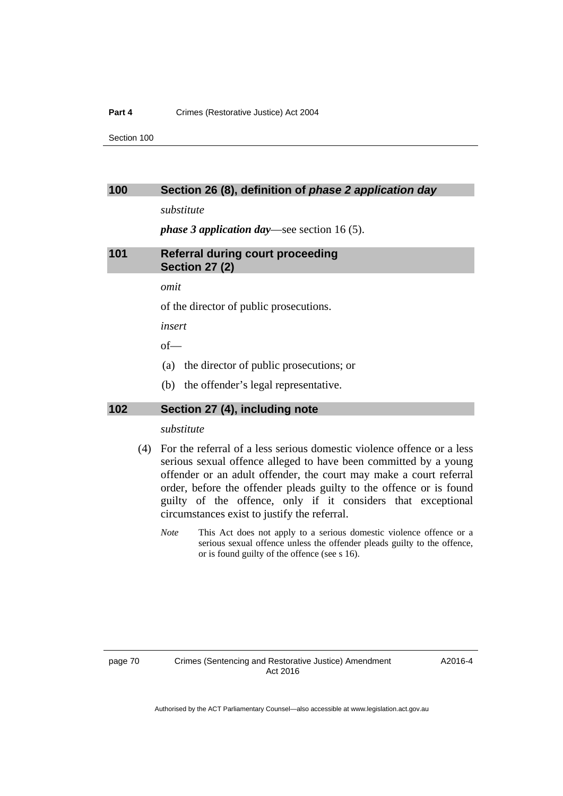#### **Part 4** Crimes (Restorative Justice) Act 2004

Section 100

#### **100 Section 26 (8), definition of** *phase 2 application day*

*substitute* 

*phase 3 application day*—see section 16 (5).

**101 Referral during court proceeding Section 27 (2)** 

*omit* 

of the director of public prosecutions.

*insert* 

of—

- (a) the director of public prosecutions; or
- (b) the offender's legal representative.

### **102 Section 27 (4), including note**

*substitute* 

- (4) For the referral of a less serious domestic violence offence or a less serious sexual offence alleged to have been committed by a young offender or an adult offender, the court may make a court referral order, before the offender pleads guilty to the offence or is found guilty of the offence, only if it considers that exceptional circumstances exist to justify the referral.
	- *Note* This Act does not apply to a serious domestic violence offence or a serious sexual offence unless the offender pleads guilty to the offence, or is found guilty of the offence (see s 16).

A2016-4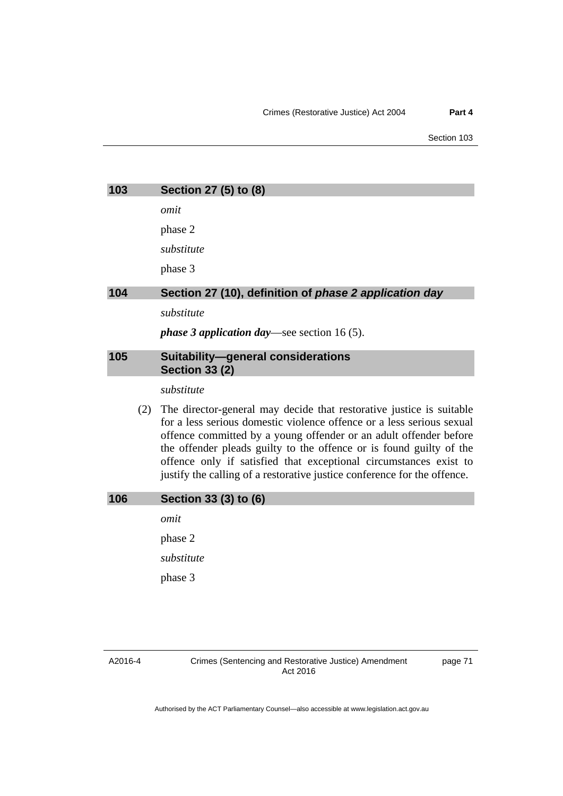Section 103

| 103 |     | Section 27 (5) to (8)                                                                                                                                                                                              |
|-----|-----|--------------------------------------------------------------------------------------------------------------------------------------------------------------------------------------------------------------------|
|     |     | omit                                                                                                                                                                                                               |
|     |     | phase 2                                                                                                                                                                                                            |
|     |     | substitute                                                                                                                                                                                                         |
|     |     | phase 3                                                                                                                                                                                                            |
| 104 |     | Section 27 (10), definition of phase 2 application day                                                                                                                                                             |
|     |     | substitute                                                                                                                                                                                                         |
|     |     | <i>phase 3 application day</i> —see section 16(5).                                                                                                                                                                 |
| 105 |     | <b>Suitability-general considerations</b><br><b>Section 33 (2)</b>                                                                                                                                                 |
|     |     | substitute                                                                                                                                                                                                         |
|     | (2) | The director-general may decide that restorative justice is suitable<br>for a less serious domestic violence offence or a less serious sexual<br>offence committed by a young offender or an adult offender before |

the offender pleads guilty to the offence or is found guilty of the offence only if satisfied that exceptional circumstances exist to justify the calling of a restorative justice conference for the offence.

### **106 Section 33 (3) to (6)**

*omit* 

phase 2

*substitute* 

phase 3

page 71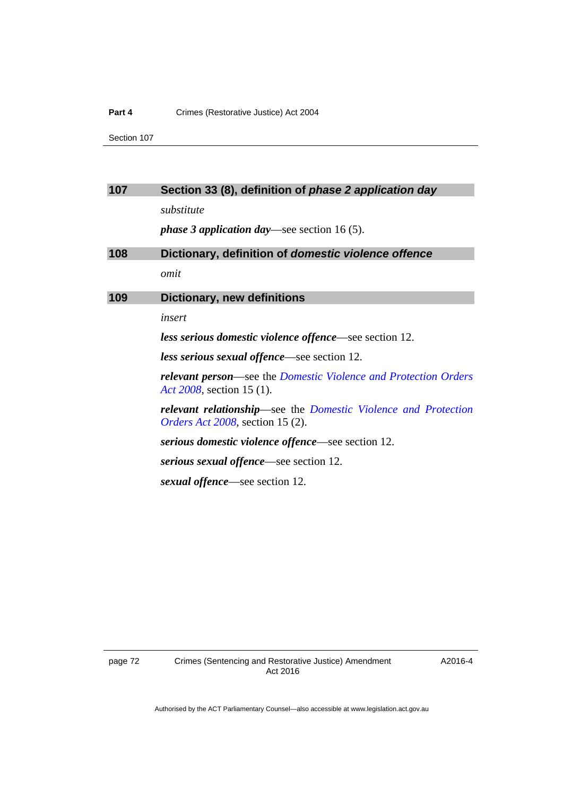#### **Part 4 Crimes (Restorative Justice) Act 2004**

Section 107

### **107 Section 33 (8), definition of** *phase 2 application day*

*substitute* 

*phase 3 application day*—see section 16 (5).

| 108 | Dictionary, definition of domestic violence offence                                                                   |
|-----|-----------------------------------------------------------------------------------------------------------------------|
|     | omit                                                                                                                  |
| 109 | <b>Dictionary, new definitions</b>                                                                                    |
|     | insert                                                                                                                |
|     | less serious domestic violence offence—see section 12.                                                                |
|     | <i>less serious sexual offence</i> —see section 12.                                                                   |
|     | <b>relevant person</b> —see the Domestic Violence and Protection Orders<br>Act 2008, section 15 (1).                  |
|     | <b>relevant relationship</b> —see the Domestic Violence and Protection<br><i>Orders Act 2008</i> , section 15 $(2)$ . |
|     | <i>serious domestic violence offence—see section 12.</i>                                                              |
|     | <i>serious sexual offence</i> —see section 12.                                                                        |
|     | <i>sexual offence</i> —see section 12.                                                                                |

A2016-4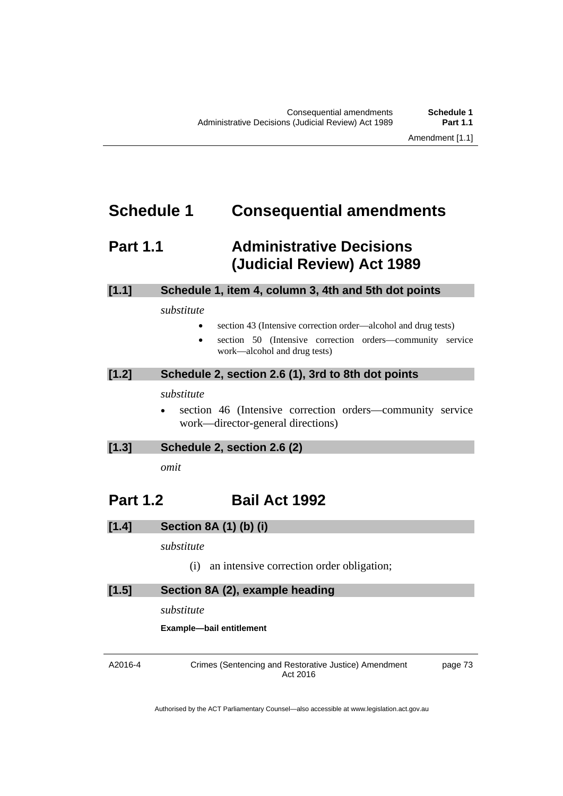# **Schedule 1 Consequential amendments**

# **Part 1.1 Administrative Decisions (Judicial Review) Act 1989**

### **[1.1] Schedule 1, item 4, column 3, 4th and 5th dot points**

#### *substitute*

- section 43 (Intensive correction order—alcohol and drug tests)
- section 50 (Intensive correction orders—community service work—alcohol and drug tests)

### **[1.2] Schedule 2, section 2.6 (1), 3rd to 8th dot points**

### *substitute*

 section 46 (Intensive correction orders—community service work—director-general directions)

### **[1.3] Schedule 2, section 2.6 (2)**

*omit* 

# **Part 1.2 Bail Act 1992**

### **[1.4] Section 8A (1) (b) (i)**

### *substitute*

(i) an intensive correction order obligation;

### **[1.5] Section 8A (2), example heading**

*substitute* 

**Example—bail entitlement** 

A2016-4

Crimes (Sentencing and Restorative Justice) Amendment Act 2016

page 73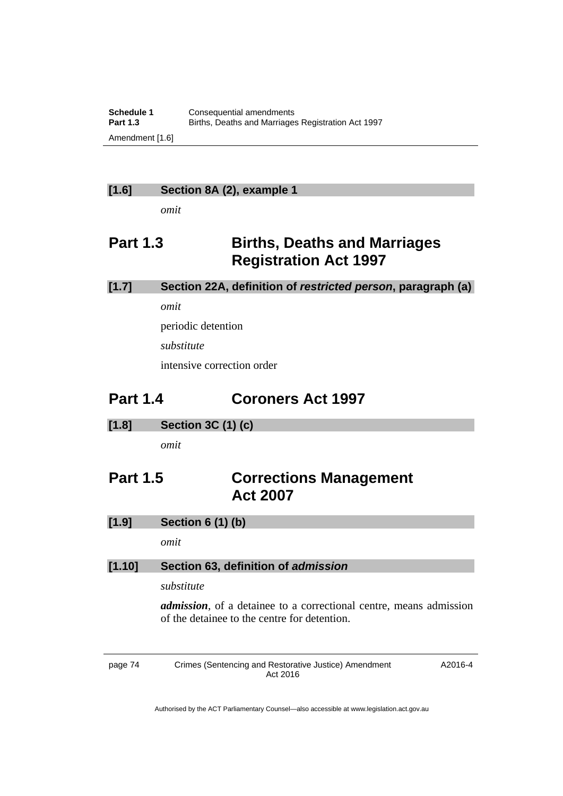### **[1.6] Section 8A (2), example 1**

*omit* 

# **Part 1.3 Births, Deaths and Marriages Registration Act 1997**

### **[1.7] Section 22A, definition of** *restricted person***, paragraph (a)**

*omit* 

periodic detention

*substitute* 

intensive correction order

# **Part 1.4 Coroners Act 1997**

**[1.8] Section 3C (1) (c)** 

*omit* 

# **Part 1.5 Corrections Management Act 2007**

## **[1.9] Section 6 (1) (b)**

*omit* 

### **[1.10] Section 63, definition of** *admission*

### *substitute*

*admission*, of a detainee to a correctional centre, means admission of the detainee to the centre for detention.

page 74 Crimes (Sentencing and Restorative Justice) Amendment Act 2016 A2016-4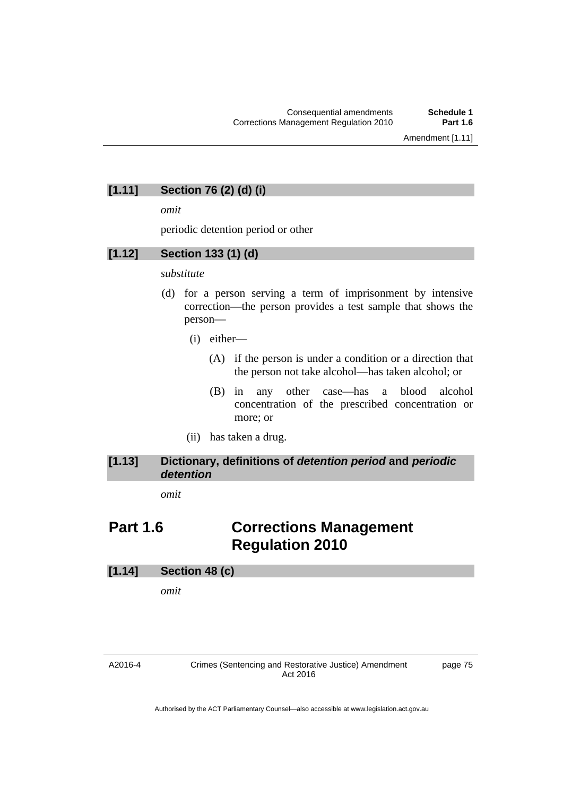### **[1.11] Section 76 (2) (d) (i)**

*omit* 

periodic detention period or other

### **[1.12] Section 133 (1) (d)**

### *substitute*

- (d) for a person serving a term of imprisonment by intensive correction—the person provides a test sample that shows the person—
	- (i) either—
		- (A) if the person is under a condition or a direction that the person not take alcohol—has taken alcohol; or
		- (B) in any other case—has a blood alcohol concentration of the prescribed concentration or more; or
	- (ii) has taken a drug.

### **[1.13] Dictionary, definitions of** *detention period* **and** *periodic detention*

*omit* 

# **Part 1.6 Corrections Management Regulation 2010**

#### **[1.14] Section 48 (c)**

*omit* 

Crimes (Sentencing and Restorative Justice) Amendment Act 2016

page 75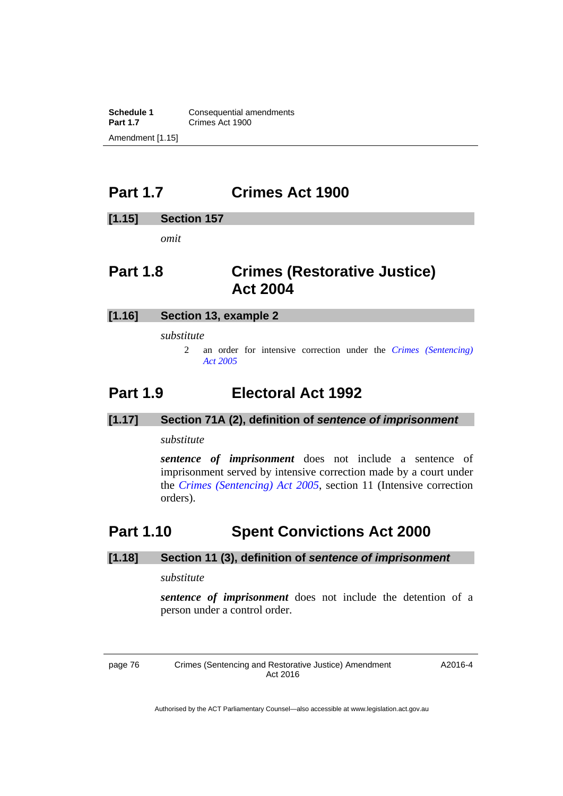**Schedule 1 Consequential amendments**<br>**Part 1.7 Crimes Act 1900 Part 1.7** Crimes Act 1900 Amendment [1.15]

# **Part 1.7 Crimes Act 1900**

### **[1.15] Section 157**

*omit* 

# **Part 1.8 Crimes (Restorative Justice) Act 2004**

### **[1.16] Section 13, example 2**

*substitute* 

2 an order for intensive correction under the *[Crimes \(Sentencing\)](http://www.legislation.act.gov.au/a/2005-58)  [Act 2005](http://www.legislation.act.gov.au/a/2005-58)*

# **Part 1.9 Electoral Act 1992**

### **[1.17] Section 71A (2), definition of** *sentence of imprisonment*

#### *substitute*

*sentence of imprisonment* does not include a sentence of imprisonment served by intensive correction made by a court under the *[Crimes \(Sentencing\) Act 2005](http://www.legislation.act.gov.au/a/2005-58)*, section 11 (Intensive correction orders).

# **Part 1.10 Spent Convictions Act 2000**

#### **[1.18] Section 11 (3), definition of** *sentence of imprisonment*

*substitute* 

*sentence of imprisonment* does not include the detention of a person under a control order.

page 76 Crimes (Sentencing and Restorative Justice) Amendment Act 2016

A2016-4